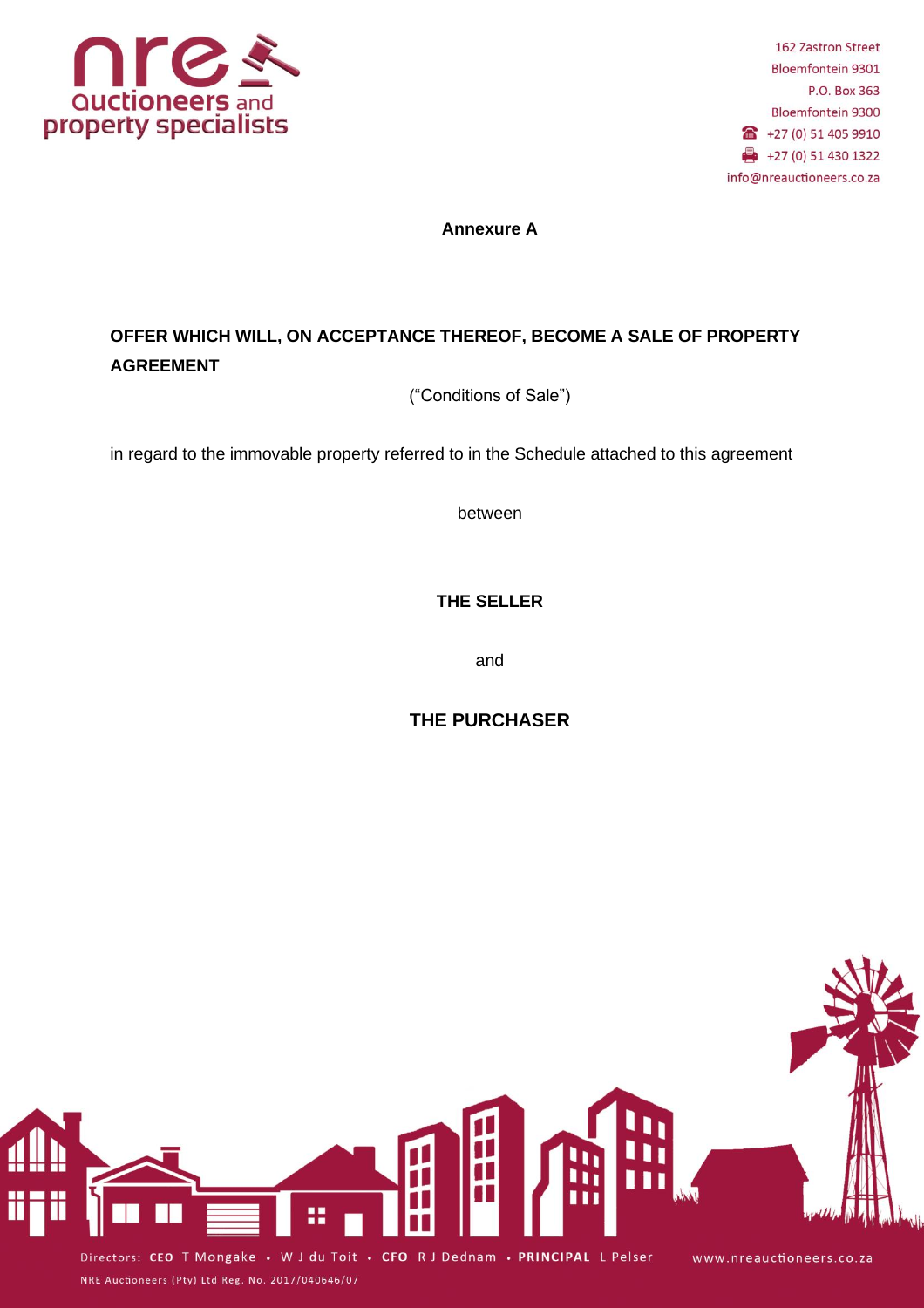

**Annexure A**

# **OFFER WHICH WILL, ON ACCEPTANCE THEREOF, BECOME A SALE OF PROPERTY AGREEMENT**

("Conditions of Sale")

in regard to the immovable property referred to in the Schedule attached to this agreement

between

**THE SELLER**

and

# **THE PURCHASER**



NRE Auctioneers (Pty) Ltd Reg. No. 2017/040646/07

Directors: CEO T Mongake • W J du Toit • CFO R J Dednam • PRINCIPAL L Pelser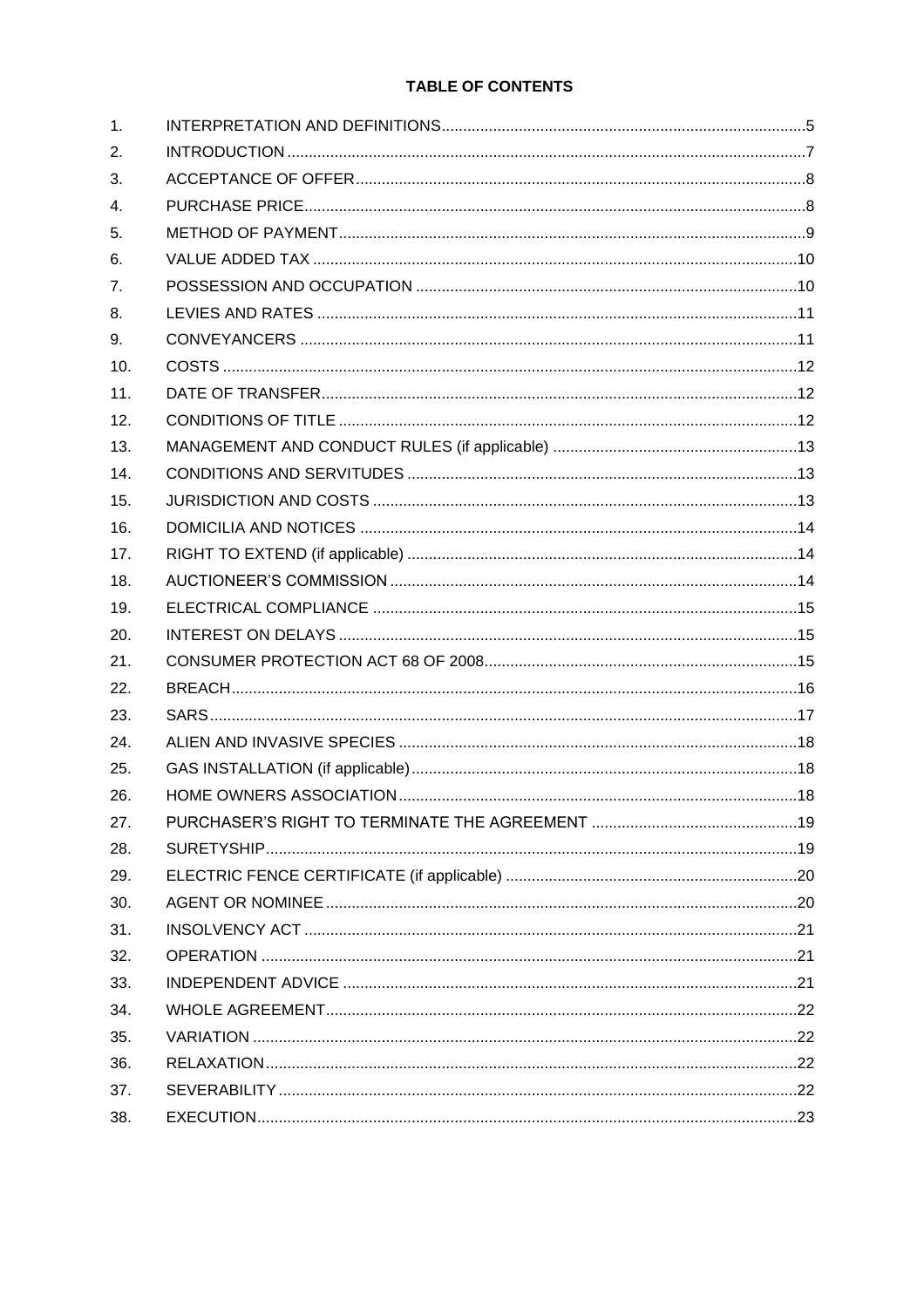# TABLE OF CONTENTS

| 1.  |  |
|-----|--|
| 2.  |  |
| 3.  |  |
| 4.  |  |
| 5.  |  |
| 6.  |  |
| 7.  |  |
| 8.  |  |
| 9.  |  |
| 10. |  |
| 11. |  |
| 12. |  |
| 13. |  |
| 14. |  |
| 15. |  |
| 16. |  |
| 17. |  |
| 18. |  |
| 19. |  |
| 20. |  |
| 21. |  |
| 22. |  |
| 23. |  |
| 24. |  |
| 25. |  |
| 26. |  |
| 27. |  |
| 28. |  |
| 29. |  |
| 30. |  |
| 31. |  |
| 32. |  |
| 33. |  |
| 34. |  |
| 35. |  |
| 36. |  |
| 37. |  |
| 38. |  |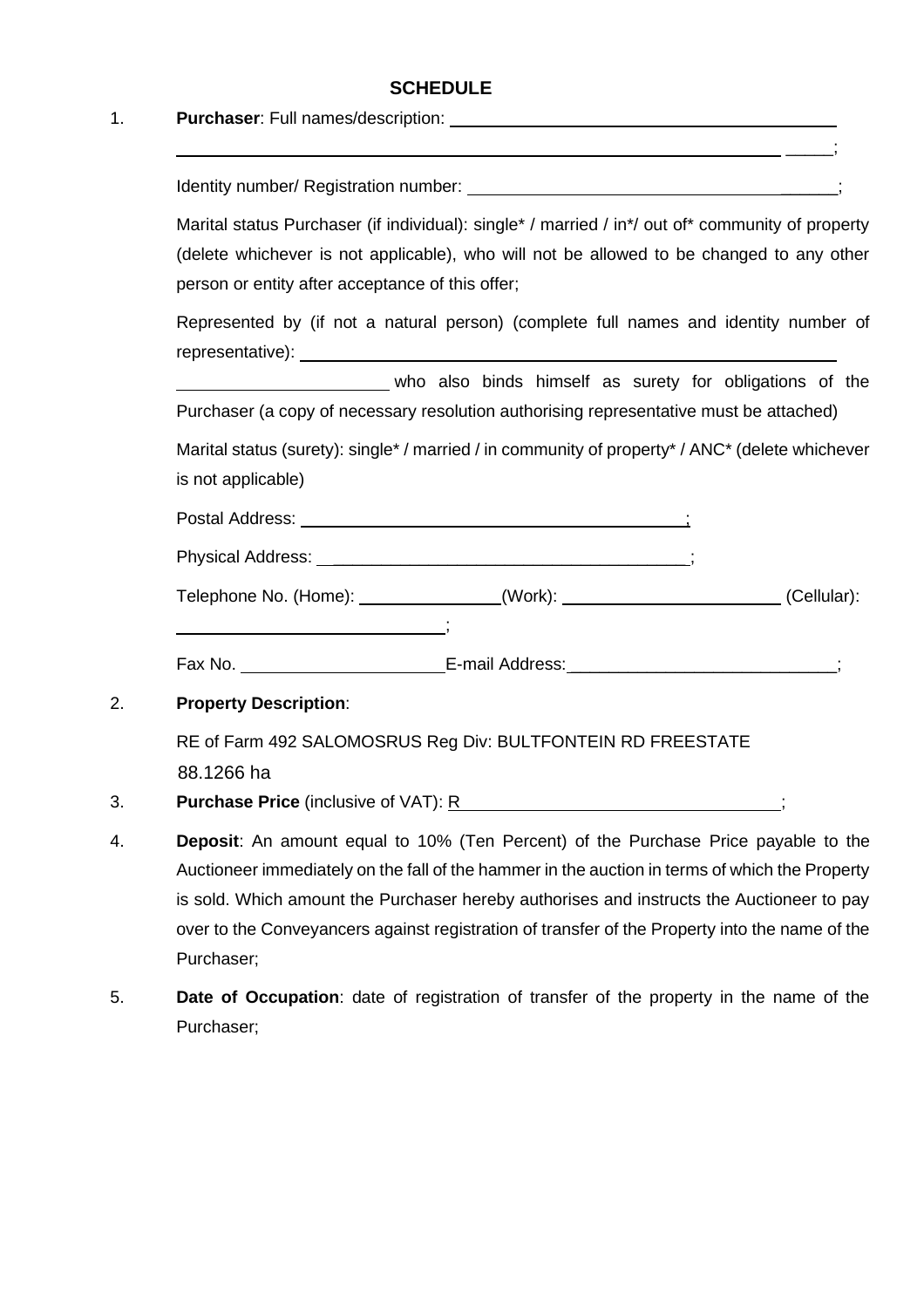# **SCHEDULE**

# <span id="page-2-2"></span>1. **Purchaser**: Full names/description:

| Marital status Purchaser (if individual): single* / married / in*/ out of* community of property<br>(delete whichever is not applicable), who will not be allowed to be changed to any other<br>person or entity after acceptance of this offer;                                                                                                                                                  |
|---------------------------------------------------------------------------------------------------------------------------------------------------------------------------------------------------------------------------------------------------------------------------------------------------------------------------------------------------------------------------------------------------|
| Represented by (if not a natural person) (complete full names and identity number of                                                                                                                                                                                                                                                                                                              |
| who also binds himself as surety for obligations of the<br>Purchaser (a copy of necessary resolution authorising representative must be attached)                                                                                                                                                                                                                                                 |
| Marital status (surety): single* / married / in community of property* / ANC* (delete whichever<br>is not applicable)                                                                                                                                                                                                                                                                             |
|                                                                                                                                                                                                                                                                                                                                                                                                   |
|                                                                                                                                                                                                                                                                                                                                                                                                   |
| Telephone No. (Home): ______________(Work): ______________________(Cellular):                                                                                                                                                                                                                                                                                                                     |
|                                                                                                                                                                                                                                                                                                                                                                                                   |
| Fax No. ________________________________E-mail Address: ________________________                                                                                                                                                                                                                                                                                                                  |
| <b>Property Description:</b>                                                                                                                                                                                                                                                                                                                                                                      |
| RE of Farm 492 SALOMOSRUS Reg Div: BULTFONTEIN RD FREESTATE<br>88.1266 ha                                                                                                                                                                                                                                                                                                                         |
| <b>Purchase Price</b> (inclusive of VAT): R                                                                                                                                                                                                                                                                                                                                                       |
| Deposit: An amount equal to 10% (Ten Percent) of the Purchase Price payable to the<br>Auctioneer immediately on the fall of the hammer in the auction in terms of which the Property<br>is sold. Which amount the Purchaser hereby authorises and instructs the Auctioneer to pay<br>over to the Conveyancers against registration of transfer of the Property into the name of the<br>Purchaser; |
| Date of Occupation: date of registration of transfer of the property in the name of the                                                                                                                                                                                                                                                                                                           |

<span id="page-2-1"></span><span id="page-2-0"></span>Purchaser;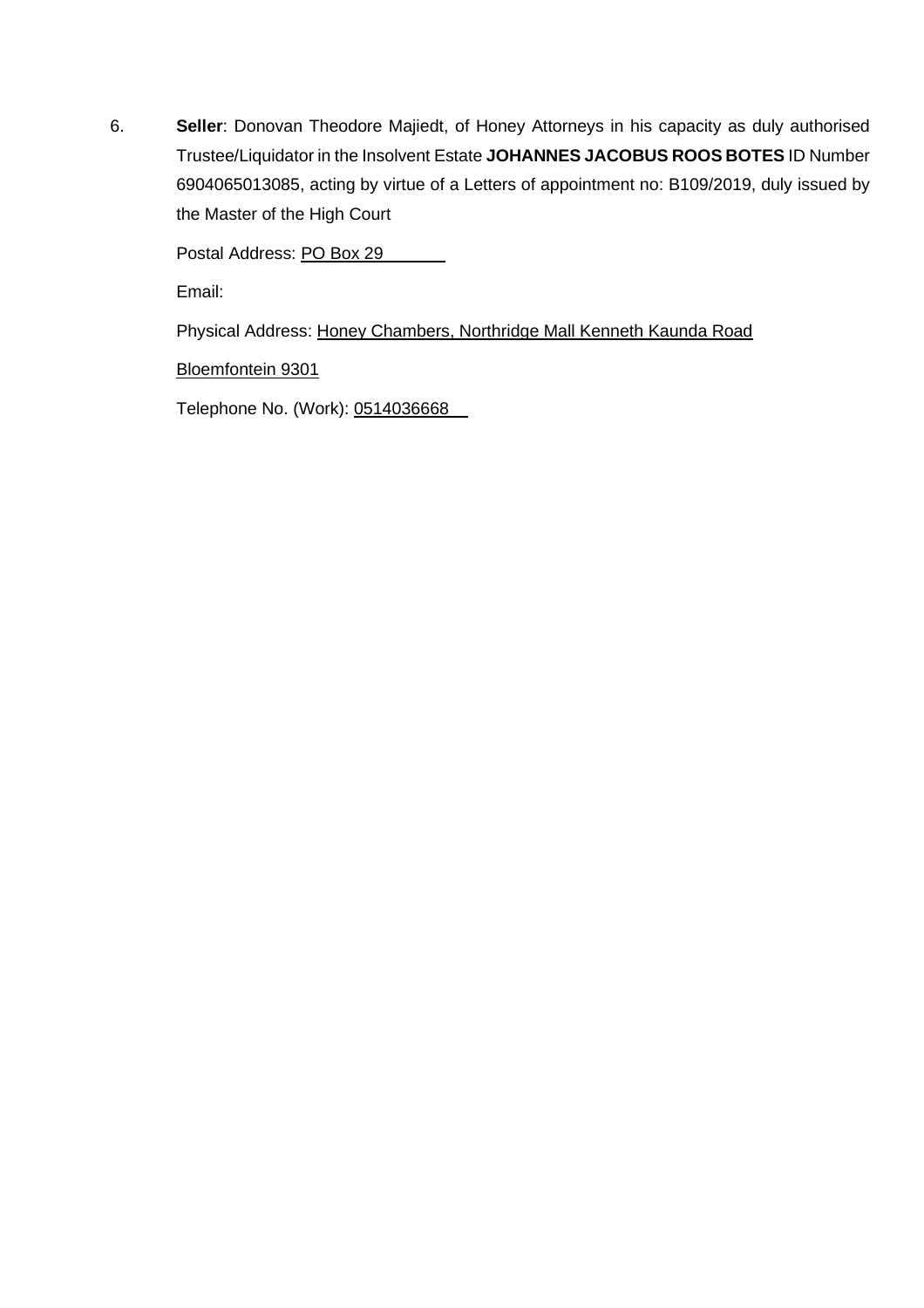6. **Seller**: Donovan Theodore Majiedt, of Honey Attorneys in his capacity as duly authorised Trustee/Liquidator in the Insolvent Estate **JOHANNES JACOBUS ROOS BOTES** ID Number 6904065013085, acting by virtue of a Letters of appointment no: B109/2019, duly issued by the Master of the High Court

Postal Address: PO Box 29

Email:

Physical Address: Honey Chambers, Northridge Mall Kenneth Kaunda Road

Bloemfontein 9301

Telephone No. (Work): 0514036668\_\_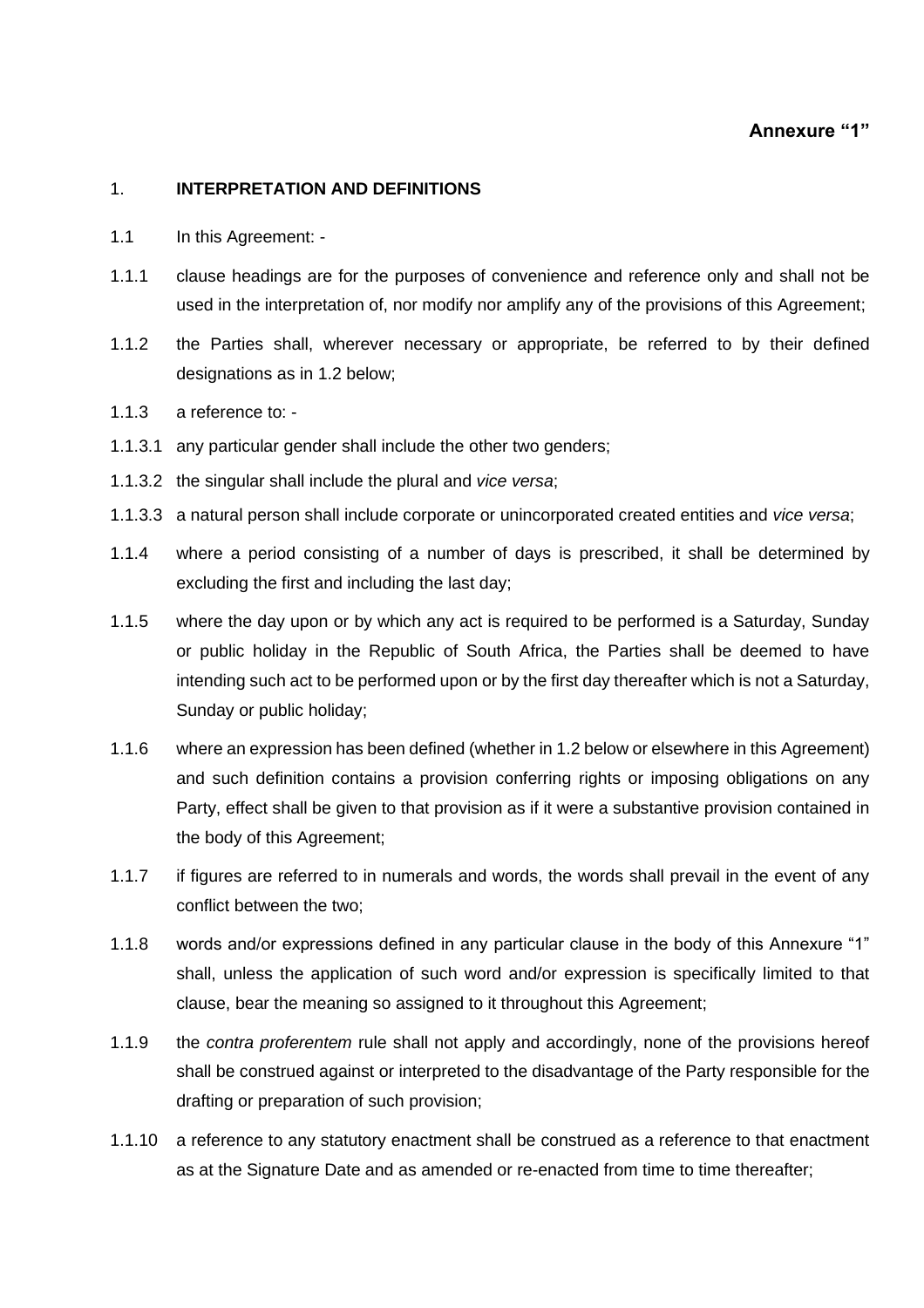# **Annexure "1"**

#### 1. **INTERPRETATION AND DEFINITIONS**

- 1.1 In this Agreement: -
- 1.1.1 clause headings are for the purposes of convenience and reference only and shall not be used in the interpretation of, nor modify nor amplify any of the provisions of this Agreement;
- 1.1.2 the Parties shall, wherever necessary or appropriate, be referred to by their defined designations as in [1.2](#page-5-0) below;
- 1.1.3 a reference to: -
- 1.1.3.1 any particular gender shall include the other two genders;
- 1.1.3.2 the singular shall include the plural and *vice versa*;
- 1.1.3.3 a natural person shall include corporate or unincorporated created entities and *vice versa*;
- 1.1.4 where a period consisting of a number of days is prescribed, it shall be determined by excluding the first and including the last day;
- 1.1.5 where the day upon or by which any act is required to be performed is a Saturday, Sunday or public holiday in the Republic of South Africa, the Parties shall be deemed to have intending such act to be performed upon or by the first day thereafter which is not a Saturday, Sunday or public holiday;
- 1.1.6 where an expression has been defined (whether in [1.2](#page-5-0) below or elsewhere in this Agreement) and such definition contains a provision conferring rights or imposing obligations on any Party, effect shall be given to that provision as if it were a substantive provision contained in the body of this Agreement;
- 1.1.7 if figures are referred to in numerals and words, the words shall prevail in the event of any conflict between the two;
- 1.1.8 words and/or expressions defined in any particular clause in the body of this Annexure "1" shall, unless the application of such word and/or expression is specifically limited to that clause, bear the meaning so assigned to it throughout this Agreement;
- 1.1.9 the *contra proferentem* rule shall not apply and accordingly, none of the provisions hereof shall be construed against or interpreted to the disadvantage of the Party responsible for the drafting or preparation of such provision;
- 1.1.10 a reference to any statutory enactment shall be construed as a reference to that enactment as at the Signature Date and as amended or re-enacted from time to time thereafter;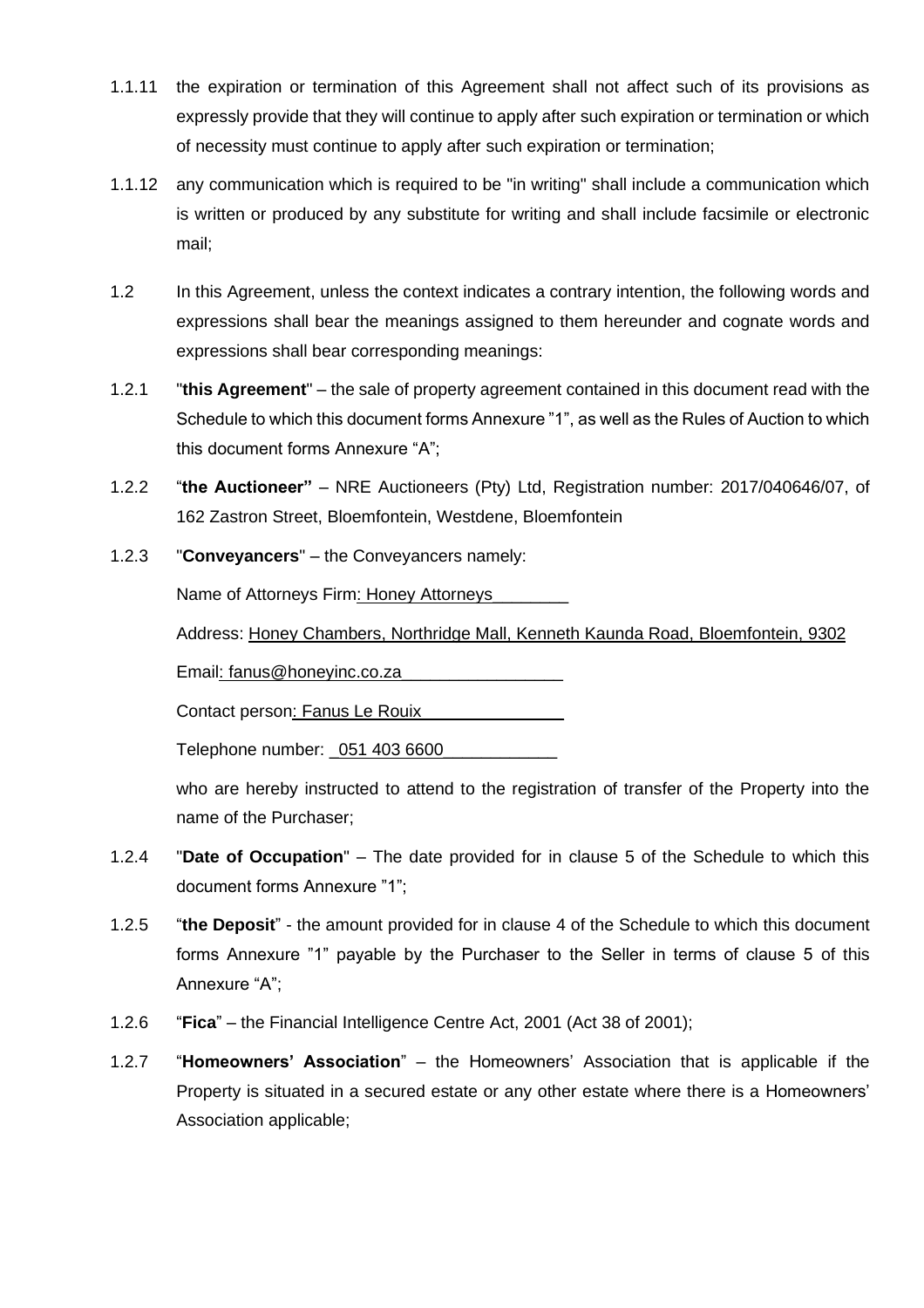- 1.1.11 the expiration or termination of this Agreement shall not affect such of its provisions as expressly provide that they will continue to apply after such expiration or termination or which of necessity must continue to apply after such expiration or termination;
- 1.1.12 any communication which is required to be "in writing" shall include a communication which is written or produced by any substitute for writing and shall include facsimile or electronic mail;
- <span id="page-5-0"></span>1.2 In this Agreement, unless the context indicates a contrary intention, the following words and expressions shall bear the meanings assigned to them hereunder and cognate words and expressions shall bear corresponding meanings:
- 1.2.1 "**this Agreement**" the sale of property agreement contained in this document read with the Schedule to which this document forms Annexure "1", as well as the Rules of Auction to which this document forms Annexure "A";
- 1.2.2 "**the Auctioneer"** NRE Auctioneers (Pty) Ltd, Registration number: 2017/040646/07, of 162 Zastron Street, Bloemfontein, Westdene, Bloemfontein
- 1.2.3 "**Conveyancers**" the Conveyancers namely:

Name of Attorneys Firm: Honey Attorneys\_

Address: Honey Chambers, Northridge Mall, Kenneth Kaunda Road, Bloemfontein, 9302

Email: fanus@honeyinc.co.za\_\_\_\_\_\_\_\_\_\_\_\_\_\_\_\_\_

Contact person: Fanus Le Rouix\_

Telephone number: \_051 403 6600\_\_\_\_\_\_\_\_\_\_\_\_

who are hereby instructed to attend to the registration of transfer of the Property into the name of the Purchaser;

- 1.2.4 "**Date of Occupation**" The date provided for in clause 5 of the Schedule to which this document forms Annexure "1";
- 1.2.5 "**the Deposit**" the amount provided for in clause [4](#page-2-0) of the Schedule to which this document forms Annexure "1" payable by the Purchaser to the Seller in terms of clause 5 of this Annexure "A";
- 1.2.6 "**Fica**" the Financial Intelligence Centre Act, 2001 (Act 38 of 2001);
- 1.2.7 "**Homeowners' Association**" the Homeowners' Association that is applicable if the Property is situated in a secured estate or any other estate where there is a Homeowners' Association applicable;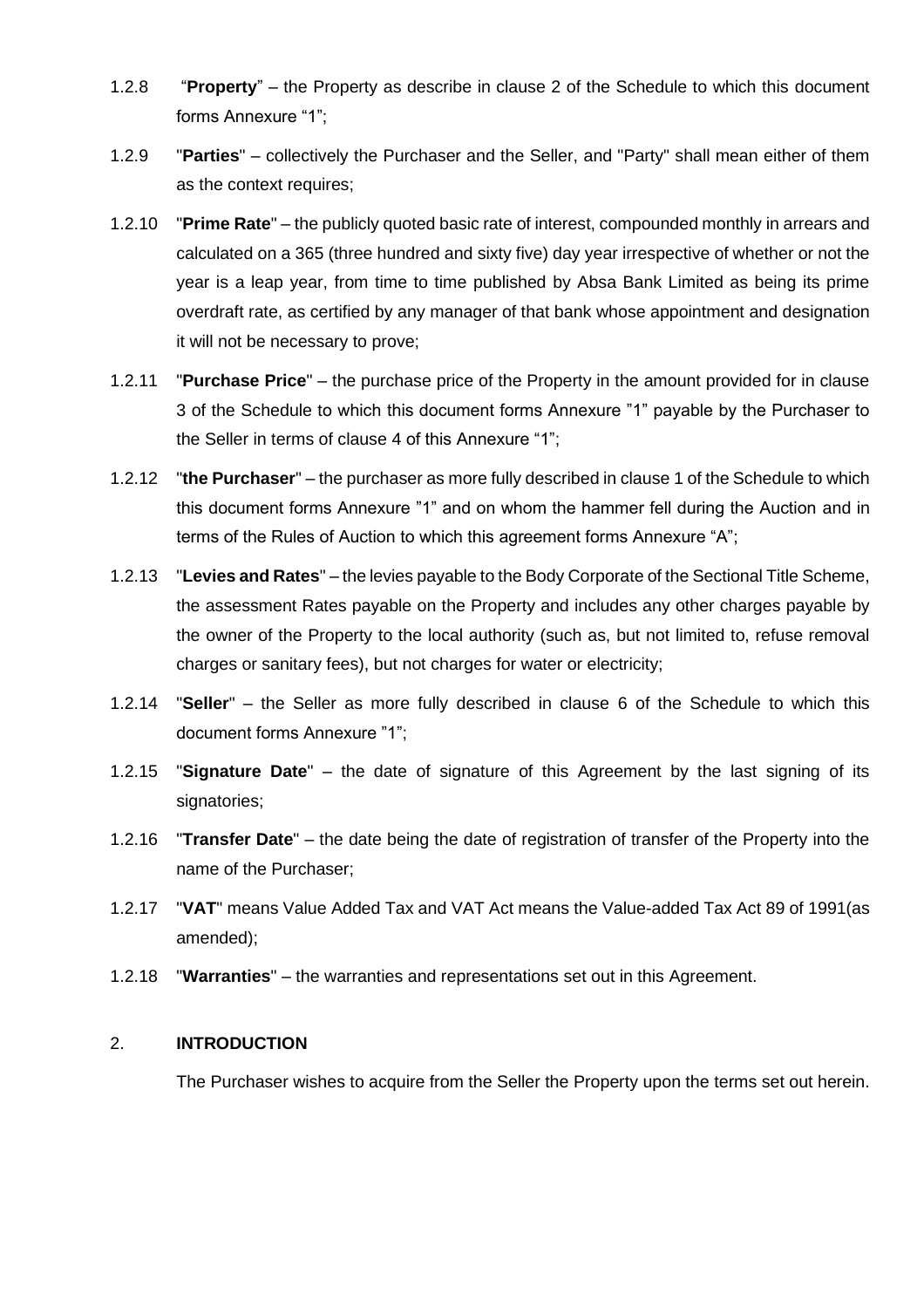- 1.2.8 "**Property**" the Property as describe in clause 2 of the Schedule to which this document forms Annexure "1";
- 1.2.9 "**Parties**" collectively the Purchaser and the Seller, and "Party" shall mean either of them as the context requires;
- 1.2.10 "**Prime Rate**" the publicly quoted basic rate of interest, compounded monthly in arrears and calculated on a 365 (three hundred and sixty five) day year irrespective of whether or not the year is a leap year, from time to time published by Absa Bank Limited as being its prime overdraft rate, as certified by any manager of that bank whose appointment and designation it will not be necessary to prove;
- 1.2.11 "**Purchase Price**" the purchase price of the Property in the amount provided for in clause [3](#page-2-1) of the Schedule to which this document forms Annexure "1" payable by the Purchaser to the Seller in terms of clause [4](#page-7-0) of this Annexure "1";
- 1.2.12 "**the Purchaser**" the purchaser as more fully described in claus[e 1](#page-2-2) of the Schedule to which this document forms Annexure "1" and on whom the hammer fell during the Auction and in terms of the Rules of Auction to which this agreement forms Annexure "A";
- 1.2.13 "**Levies and Rates**" the levies payable to the Body Corporate of the Sectional Title Scheme, the assessment Rates payable on the Property and includes any other charges payable by the owner of the Property to the local authority (such as, but not limited to, refuse removal charges or sanitary fees), but not charges for water or electricity;
- <span id="page-6-0"></span>1.2.14 "**Seller**" – the Seller as more fully described in clause 6 of the Schedule to which this document forms Annexure "1";
- 1.2.15 "**Signature Date**" the date of signature of this Agreement by the last signing of its signatories;
- 1.2.16 "**Transfer Date**" the date being the date of registration of transfer of the Property into the name of the Purchaser;
- 1.2.17 "**VAT**" means Value Added Tax and VAT Act means the Value-added Tax Act 89 of 1991(as amended);
- 1.2.18 "**Warranties**" the warranties and representations set out in this Agreement.

#### 2. **INTRODUCTION**

The Purchaser wishes to acquire from the Seller the Property upon the terms set out herein.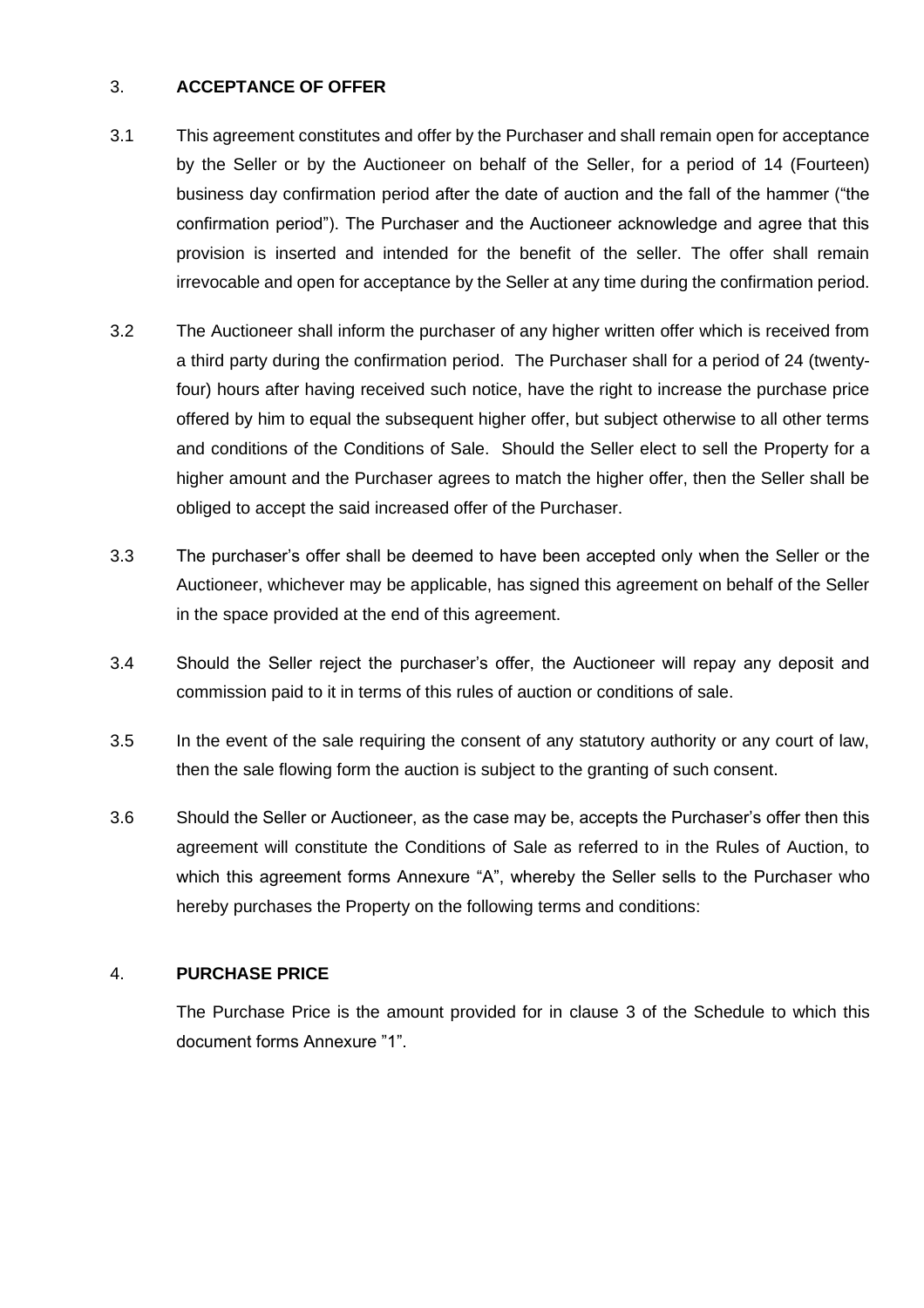# 3. **ACCEPTANCE OF OFFER**

- 3.1 This agreement constitutes and offer by the Purchaser and shall remain open for acceptance by the Seller or by the Auctioneer on behalf of the Seller, for a period of 14 (Fourteen) business day confirmation period after the date of auction and the fall of the hammer ("the confirmation period"). The Purchaser and the Auctioneer acknowledge and agree that this provision is inserted and intended for the benefit of the seller. The offer shall remain irrevocable and open for acceptance by the Seller at any time during the confirmation period.
- 3.2 The Auctioneer shall inform the purchaser of any higher written offer which is received from a third party during the confirmation period. The Purchaser shall for a period of 24 (twentyfour) hours after having received such notice, have the right to increase the purchase price offered by him to equal the subsequent higher offer, but subject otherwise to all other terms and conditions of the Conditions of Sale. Should the Seller elect to sell the Property for a higher amount and the Purchaser agrees to match the higher offer, then the Seller shall be obliged to accept the said increased offer of the Purchaser.
- 3.3 The purchaser's offer shall be deemed to have been accepted only when the Seller or the Auctioneer, whichever may be applicable, has signed this agreement on behalf of the Seller in the space provided at the end of this agreement.
- 3.4 Should the Seller reject the purchaser's offer, the Auctioneer will repay any deposit and commission paid to it in terms of this rules of auction or conditions of sale.
- 3.5 In the event of the sale requiring the consent of any statutory authority or any court of law, then the sale flowing form the auction is subject to the granting of such consent.
- 3.6 Should the Seller or Auctioneer, as the case may be, accepts the Purchaser's offer then this agreement will constitute the Conditions of Sale as referred to in the Rules of Auction, to which this agreement forms Annexure "A", whereby the Seller sells to the Purchaser who hereby purchases the Property on the following terms and conditions:

#### <span id="page-7-0"></span>4. **PURCHASE PRICE**

The Purchase Price is the amount provided for in clause [3](#page-2-1) of the Schedule to which this document forms Annexure "1".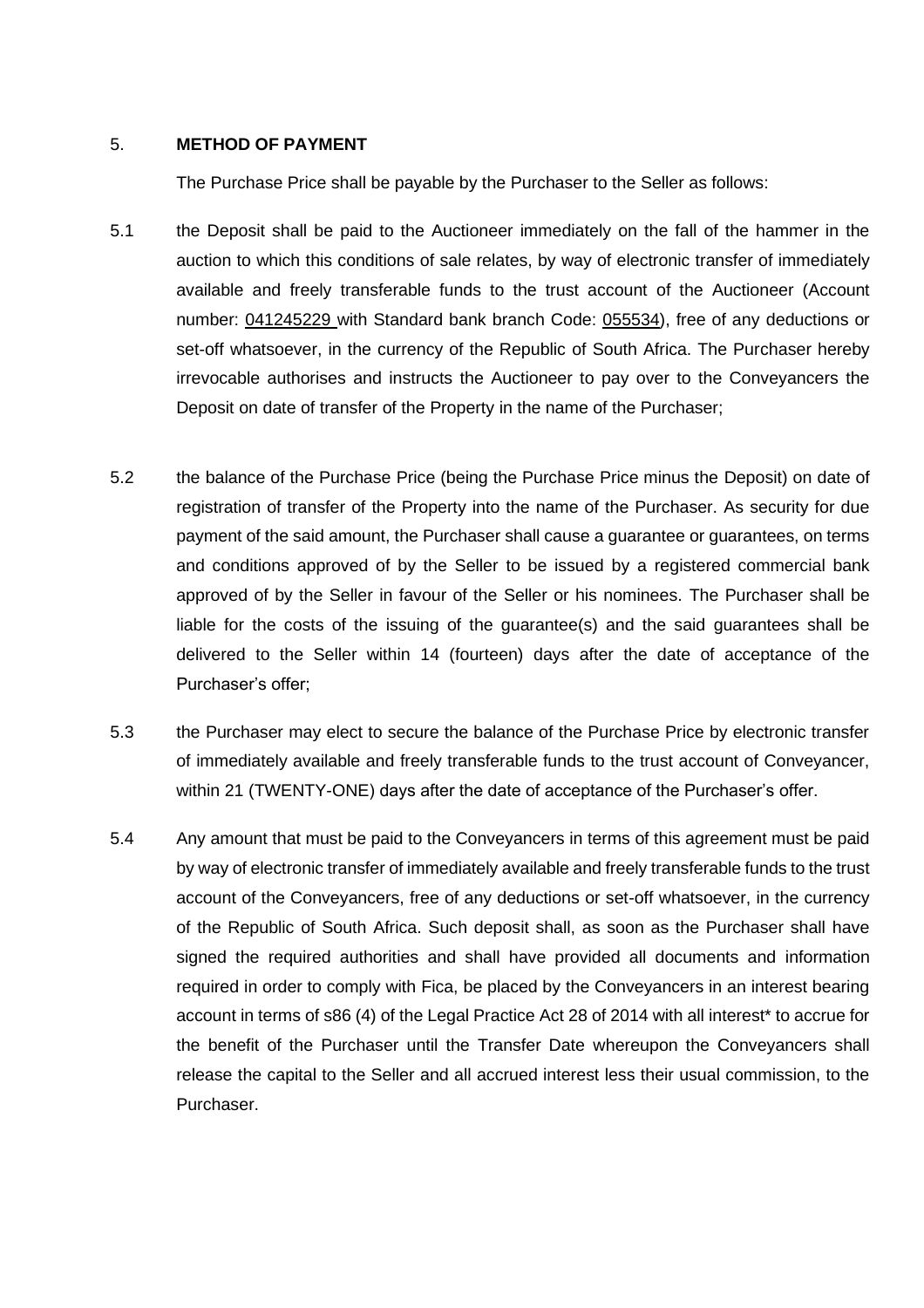#### 5. **METHOD OF PAYMENT**

The Purchase Price shall be payable by the Purchaser to the Seller as follows:

- 5.1 the Deposit shall be paid to the Auctioneer immediately on the fall of the hammer in the auction to which this conditions of sale relates, by way of electronic transfer of immediately available and freely transferable funds to the trust account of the Auctioneer (Account number: 041245229 with Standard bank branch Code: 055534), free of any deductions or set-off whatsoever, in the currency of the Republic of South Africa. The Purchaser hereby irrevocable authorises and instructs the Auctioneer to pay over to the Conveyancers the Deposit on date of transfer of the Property in the name of the Purchaser;
- 5.2 the balance of the Purchase Price (being the Purchase Price minus the Deposit) on date of registration of transfer of the Property into the name of the Purchaser. As security for due payment of the said amount, the Purchaser shall cause a guarantee or guarantees, on terms and conditions approved of by the Seller to be issued by a registered commercial bank approved of by the Seller in favour of the Seller or his nominees. The Purchaser shall be liable for the costs of the issuing of the guarantee(s) and the said guarantees shall be delivered to the Seller within 14 (fourteen) days after the date of acceptance of the Purchaser's offer;
- 5.3 the Purchaser may elect to secure the balance of the Purchase Price by electronic transfer of immediately available and freely transferable funds to the trust account of Conveyancer, within 21 (TWENTY-ONE) days after the date of acceptance of the Purchaser's offer.
- 5.4 Any amount that must be paid to the Conveyancers in terms of this agreement must be paid by way of electronic transfer of immediately available and freely transferable funds to the trust account of the Conveyancers, free of any deductions or set-off whatsoever, in the currency of the Republic of South Africa. Such deposit shall, as soon as the Purchaser shall have signed the required authorities and shall have provided all documents and information required in order to comply with Fica, be placed by the Conveyancers in an interest bearing account in terms of s86 (4) of the Legal Practice Act 28 of 2014 with all interest\* to accrue for the benefit of the Purchaser until the Transfer Date whereupon the Conveyancers shall release the capital to the Seller and all accrued interest less their usual commission, to the Purchaser.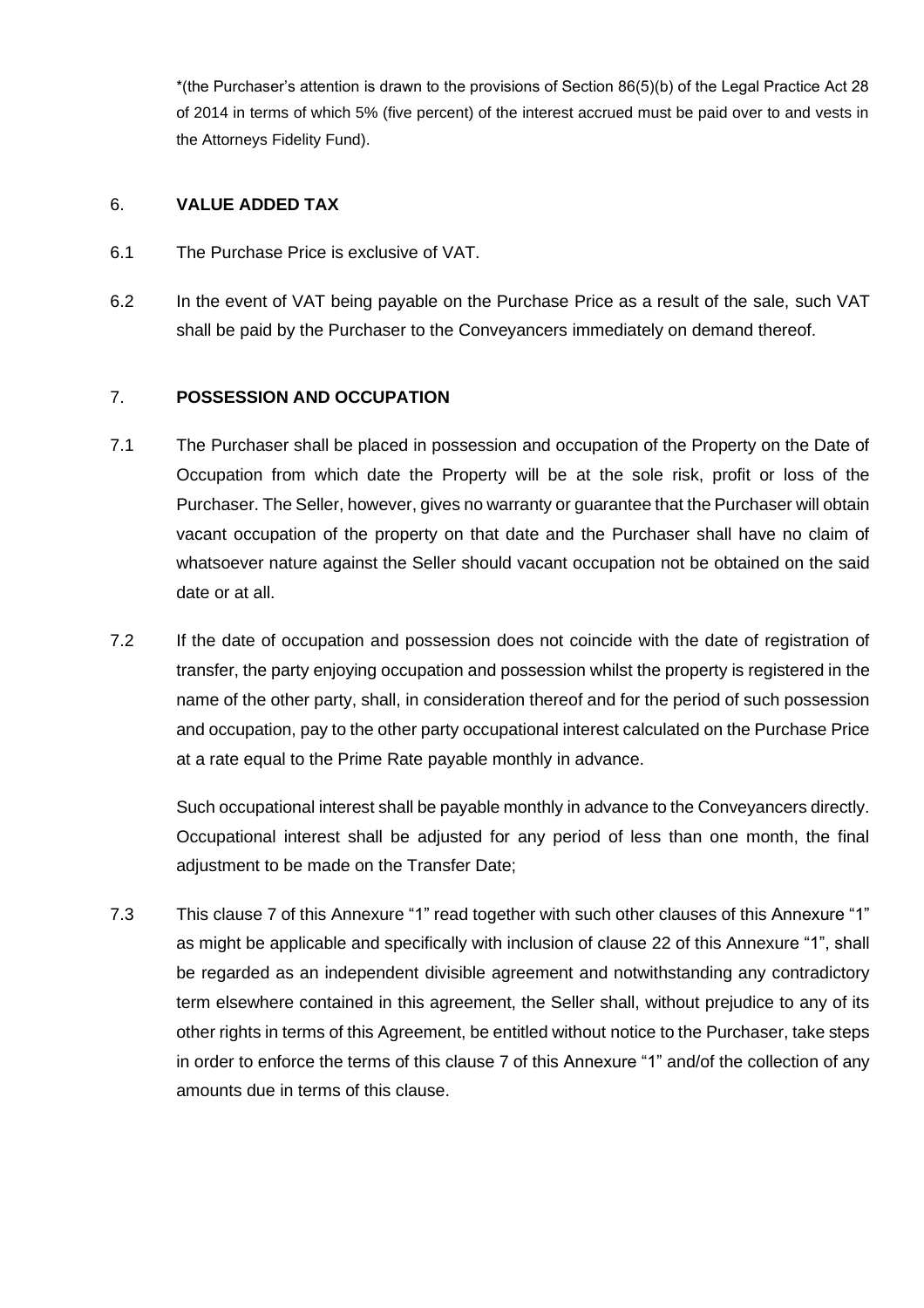\*(the Purchaser's attention is drawn to the provisions of Section 86(5)(b) of the Legal Practice Act 28 of 2014 in terms of which 5% (five percent) of the interest accrued must be paid over to and vests in the Attorneys Fidelity Fund).

# 6. **VALUE ADDED TAX**

- 6.1 The Purchase Price is exclusive of VAT.
- 6.2 In the event of VAT being payable on the Purchase Price as a result of the sale, such VAT shall be paid by the Purchaser to the Conveyancers immediately on demand thereof.

# 7. **POSSESSION AND OCCUPATION**

- 7.1 The Purchaser shall be placed in possession and occupation of the Property on the Date of Occupation from which date the Property will be at the sole risk, profit or loss of the Purchaser. The Seller, however, gives no warranty or guarantee that the Purchaser will obtain vacant occupation of the property on that date and the Purchaser shall have no claim of whatsoever nature against the Seller should vacant occupation not be obtained on the said date or at all.
- 7.2 If the date of occupation and possession does not coincide with the date of registration of transfer, the party enjoying occupation and possession whilst the property is registered in the name of the other party, shall, in consideration thereof and for the period of such possession and occupation, pay to the other party occupational interest calculated on the Purchase Price at a rate equal to the Prime Rate payable monthly in advance.

Such occupational interest shall be payable monthly in advance to the Conveyancers directly. Occupational interest shall be adjusted for any period of less than one month, the final adjustment to be made on the Transfer Date;

7.3 This clause 7 of this Annexure "1" read together with such other clauses of this Annexure "1" as might be applicable and specifically with inclusion of clause [22](#page-15-0) of this Annexure "1", shall be regarded as an independent divisible agreement and notwithstanding any contradictory term elsewhere contained in this agreement, the Seller shall, without prejudice to any of its other rights in terms of this Agreement, be entitled without notice to the Purchaser, take steps in order to enforce the terms of this clause 7 of this Annexure "1" and/of the collection of any amounts due in terms of this clause.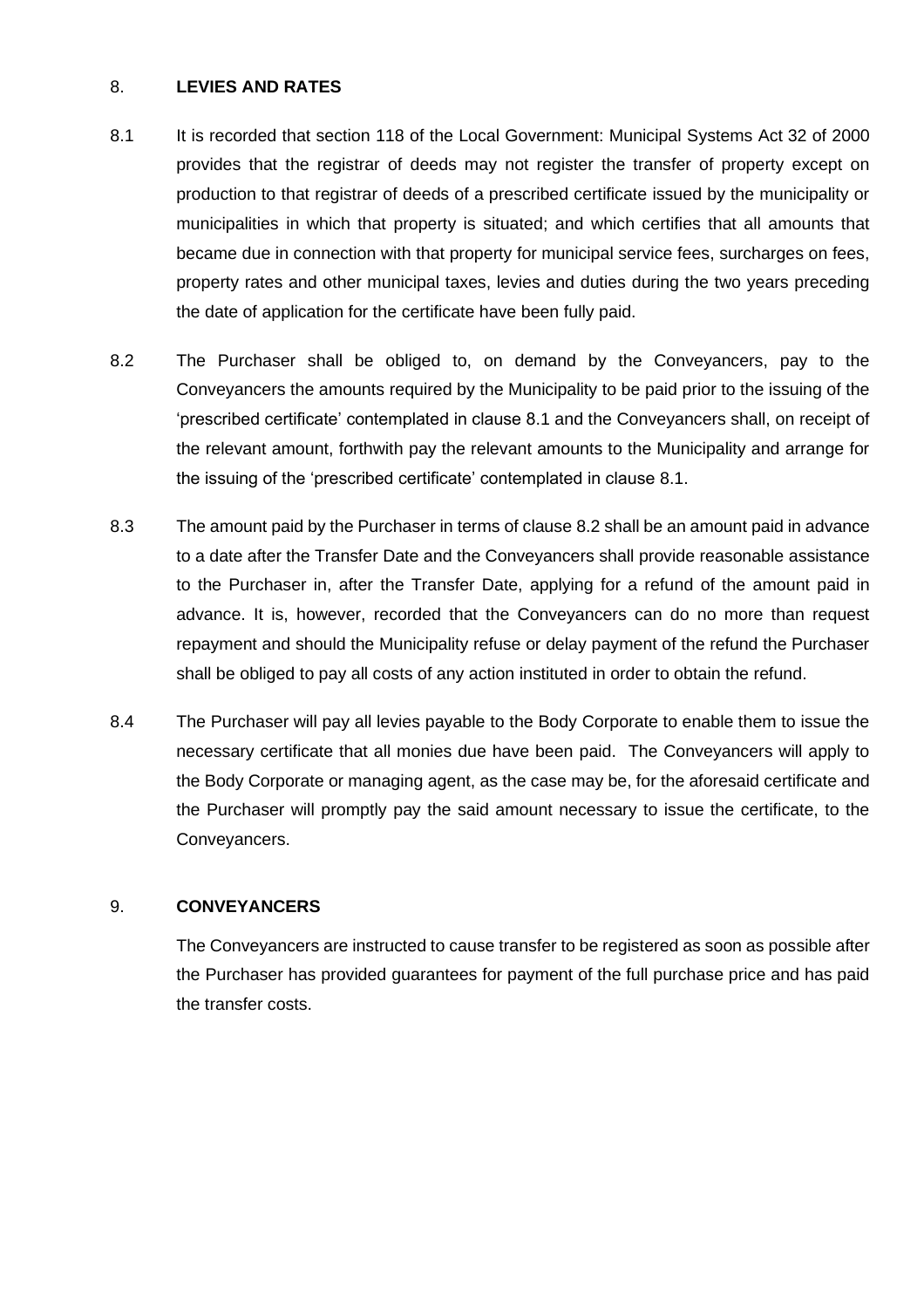# 8. **LEVIES AND RATES**

- <span id="page-10-0"></span>8.1 It is recorded that section 118 of the Local Government: Municipal Systems Act 32 of 2000 provides that the registrar of deeds may not register the transfer of property except on production to that registrar of deeds of a prescribed certificate issued by the municipality or municipalities in which that property is situated; and which certifies that all amounts that became due in connection with that property for municipal service fees, surcharges on fees, property rates and other municipal taxes, levies and duties during the two years preceding the date of application for the certificate have been fully paid.
- <span id="page-10-1"></span>8.2 The Purchaser shall be obliged to, on demand by the Conveyancers, pay to the Conveyancers the amounts required by the Municipality to be paid prior to the issuing of the 'prescribed certificate' contemplated in clause 8.1 and the Conveyancers shall, on receipt of the relevant amount, forthwith pay the relevant amounts to the Municipality and arrange for the issuing of the 'prescribed certificate' contemplated in clause [8.1.](#page-10-0)
- 8.3 The amount paid by the Purchaser in terms of clause [8.2](#page-10-1) shall be an amount paid in advance to a date after the Transfer Date and the Conveyancers shall provide reasonable assistance to the Purchaser in, after the Transfer Date, applying for a refund of the amount paid in advance. It is, however, recorded that the Conveyancers can do no more than request repayment and should the Municipality refuse or delay payment of the refund the Purchaser shall be obliged to pay all costs of any action instituted in order to obtain the refund.
- 8.4 The Purchaser will pay all levies payable to the Body Corporate to enable them to issue the necessary certificate that all monies due have been paid. The Conveyancers will apply to the Body Corporate or managing agent, as the case may be, for the aforesaid certificate and the Purchaser will promptly pay the said amount necessary to issue the certificate, to the Conveyancers.

#### 9. **CONVEYANCERS**

The Conveyancers are instructed to cause transfer to be registered as soon as possible after the Purchaser has provided guarantees for payment of the full purchase price and has paid the transfer costs.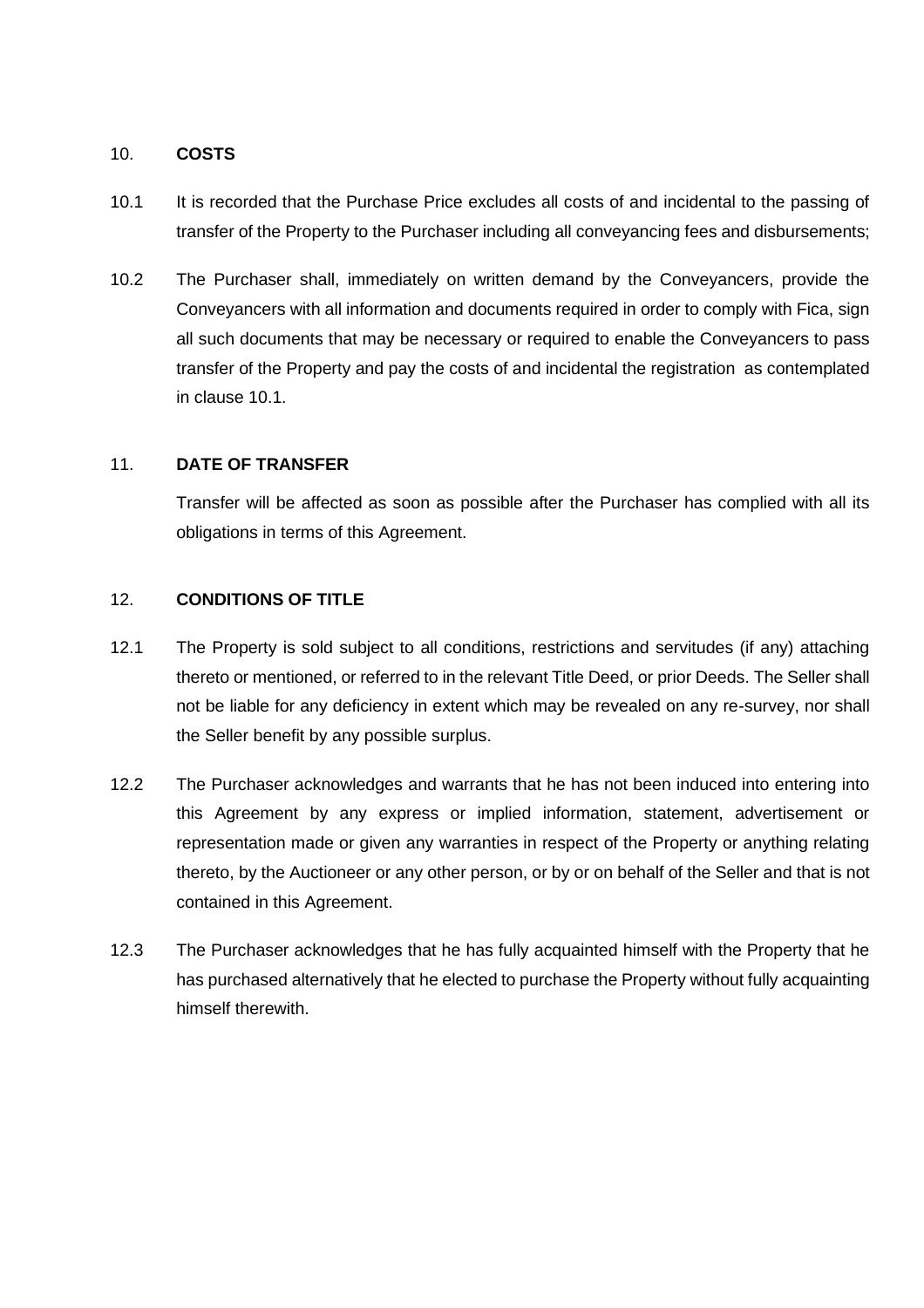#### 10. **COSTS**

- 10.1 It is recorded that the Purchase Price excludes all costs of and incidental to the passing of transfer of the Property to the Purchaser including all conveyancing fees and disbursements;
- 10.2 The Purchaser shall, immediately on written demand by the Conveyancers, provide the Conveyancers with all information and documents required in order to comply with Fica, sign all such documents that may be necessary or required to enable the Conveyancers to pass transfer of the Property and pay the costs of and incidental the registration as contemplated in clause 10.1.

# 11. **DATE OF TRANSFER**

Transfer will be affected as soon as possible after the Purchaser has complied with all its obligations in terms of this Agreement.

# 12. **CONDITIONS OF TITLE**

- 12.1 The Property is sold subject to all conditions, restrictions and servitudes (if any) attaching thereto or mentioned, or referred to in the relevant Title Deed, or prior Deeds. The Seller shall not be liable for any deficiency in extent which may be revealed on any re-survey, nor shall the Seller benefit by any possible surplus.
- 12.2 The Purchaser acknowledges and warrants that he has not been induced into entering into this Agreement by any express or implied information, statement, advertisement or representation made or given any warranties in respect of the Property or anything relating thereto, by the Auctioneer or any other person, or by or on behalf of the Seller and that is not contained in this Agreement.
- 12.3 The Purchaser acknowledges that he has fully acquainted himself with the Property that he has purchased alternatively that he elected to purchase the Property without fully acquainting himself therewith.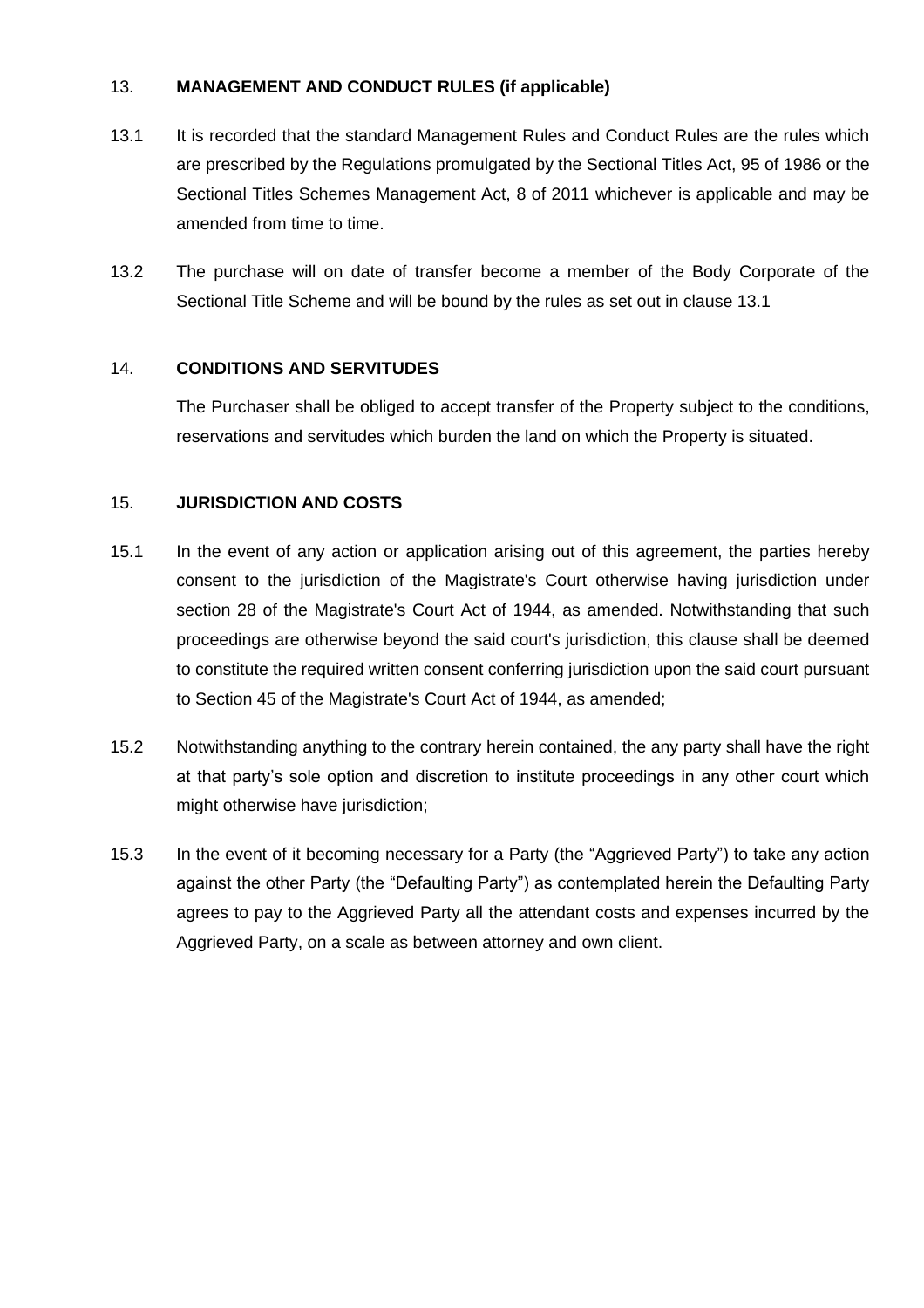# 13. **MANAGEMENT AND CONDUCT RULES (if applicable)**

- 13.1 It is recorded that the standard Management Rules and Conduct Rules are the rules which are prescribed by the Regulations promulgated by the Sectional Titles Act, 95 of 1986 or the Sectional Titles Schemes Management Act, 8 of 2011 whichever is applicable and may be amended from time to time.
- 13.2 The purchase will on date of transfer become a member of the Body Corporate of the Sectional Title Scheme and will be bound by the rules as set out in clause 13.1

# 14. **CONDITIONS AND SERVITUDES**

The Purchaser shall be obliged to accept transfer of the Property subject to the conditions, reservations and servitudes which burden the land on which the Property is situated.

# 15. **JURISDICTION AND COSTS**

- 15.1 In the event of any action or application arising out of this agreement, the parties hereby consent to the jurisdiction of the Magistrate's Court otherwise having jurisdiction under section 28 of the Magistrate's Court Act of 1944, as amended. Notwithstanding that such proceedings are otherwise beyond the said court's jurisdiction, this clause shall be deemed to constitute the required written consent conferring jurisdiction upon the said court pursuant to Section 45 of the Magistrate's Court Act of 1944, as amended;
- 15.2 Notwithstanding anything to the contrary herein contained, the any party shall have the right at that party's sole option and discretion to institute proceedings in any other court which might otherwise have jurisdiction;
- 15.3 In the event of it becoming necessary for a Party (the "Aggrieved Party") to take any action against the other Party (the "Defaulting Party") as contemplated herein the Defaulting Party agrees to pay to the Aggrieved Party all the attendant costs and expenses incurred by the Aggrieved Party, on a scale as between attorney and own client.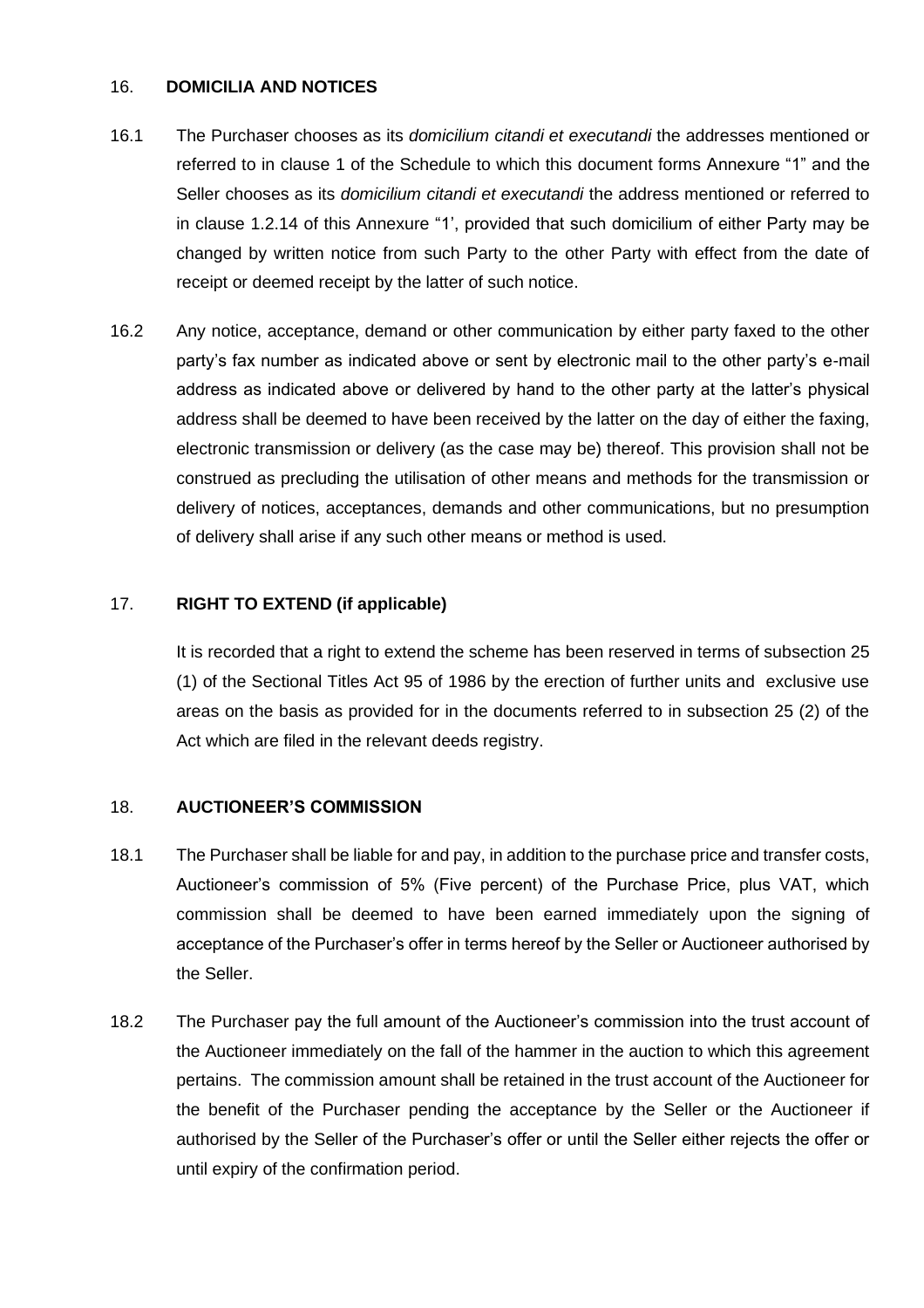#### 16. **DOMICILIA AND NOTICES**

- 16.1 The Purchaser chooses as its *domicilium citandi et executandi* the addresses mentioned or referred to in clause 1 of the Schedule to which this document forms Annexure "1" and the Seller chooses as its *domicilium citandi et executandi* the address mentioned or referred to in clause [1.2.14](#page-6-0) of this Annexure "1', provided that such domicilium of either Party may be changed by written notice from such Party to the other Party with effect from the date of receipt or deemed receipt by the latter of such notice.
- 16.2 Any notice, acceptance, demand or other communication by either party faxed to the other party's fax number as indicated above or sent by electronic mail to the other party's e-mail address as indicated above or delivered by hand to the other party at the latter's physical address shall be deemed to have been received by the latter on the day of either the faxing, electronic transmission or delivery (as the case may be) thereof. This provision shall not be construed as precluding the utilisation of other means and methods for the transmission or delivery of notices, acceptances, demands and other communications, but no presumption of delivery shall arise if any such other means or method is used.

# 17. **RIGHT TO EXTEND (if applicable)**

It is recorded that a right to extend the scheme has been reserved in terms of subsection 25 (1) of the Sectional Titles Act 95 of 1986 by the erection of further units and exclusive use areas on the basis as provided for in the documents referred to in subsection 25 (2) of the Act which are filed in the relevant deeds registry.

#### 18. **AUCTIONEER'S COMMISSION**

- 18.1 The Purchaser shall be liable for and pay, in addition to the purchase price and transfer costs, Auctioneer's commission of 5% (Five percent) of the Purchase Price, plus VAT, which commission shall be deemed to have been earned immediately upon the signing of acceptance of the Purchaser's offer in terms hereof by the Seller or Auctioneer authorised by the Seller.
- 18.2 The Purchaser pay the full amount of the Auctioneer's commission into the trust account of the Auctioneer immediately on the fall of the hammer in the auction to which this agreement pertains. The commission amount shall be retained in the trust account of the Auctioneer for the benefit of the Purchaser pending the acceptance by the Seller or the Auctioneer if authorised by the Seller of the Purchaser's offer or until the Seller either rejects the offer or until expiry of the confirmation period.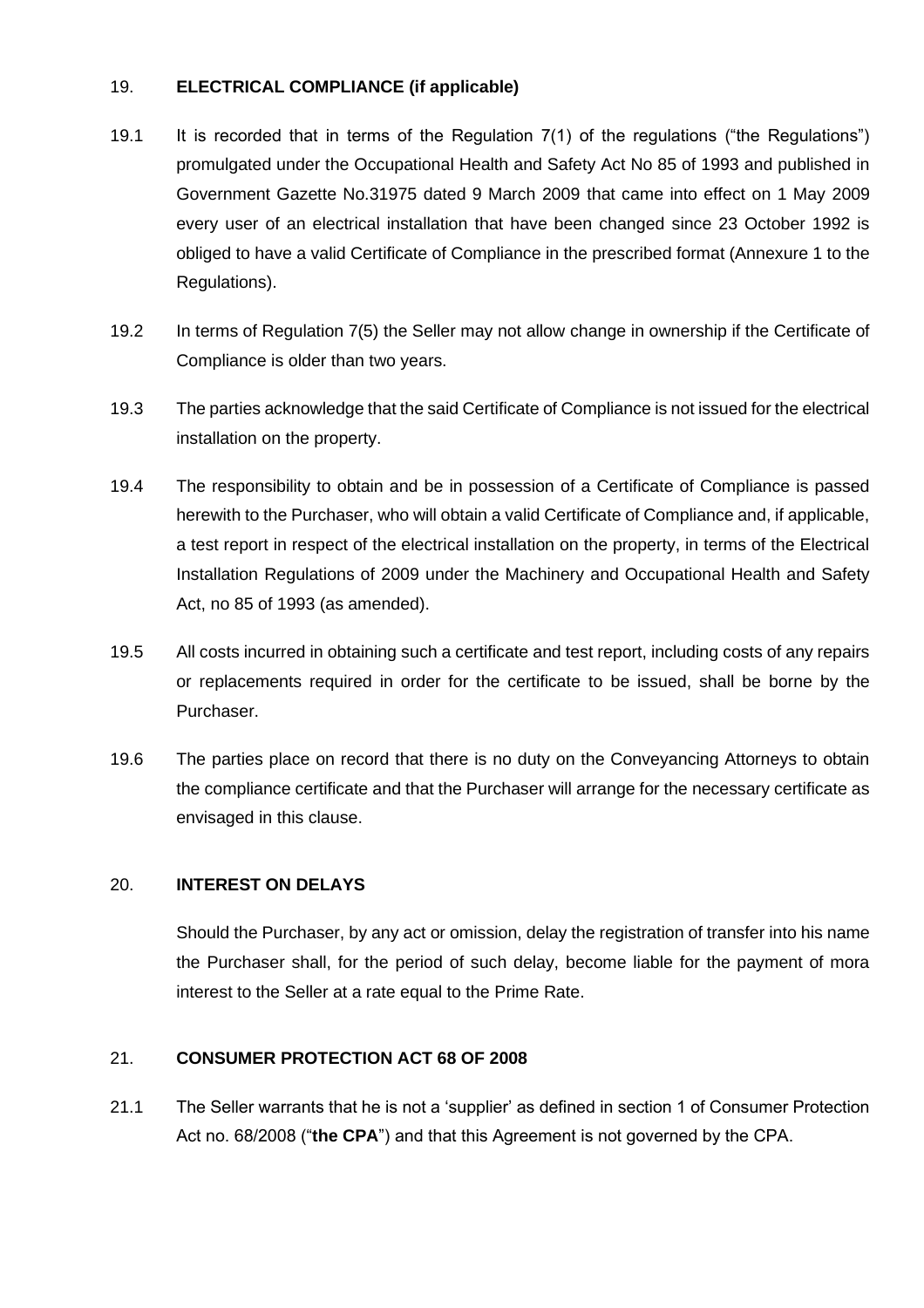# 19. **ELECTRICAL COMPLIANCE (if applicable)**

- 19.1 It is recorded that in terms of the Regulation 7(1) of the regulations ("the Regulations") promulgated under the Occupational Health and Safety Act No 85 of 1993 and published in Government Gazette No.31975 dated 9 March 2009 that came into effect on 1 May 2009 every user of an electrical installation that have been changed since 23 October 1992 is obliged to have a valid Certificate of Compliance in the prescribed format (Annexure 1 to the Regulations).
- 19.2 In terms of Regulation 7(5) the Seller may not allow change in ownership if the Certificate of Compliance is older than two years.
- 19.3 The parties acknowledge that the said Certificate of Compliance is not issued for the electrical installation on the property.
- 19.4 The responsibility to obtain and be in possession of a Certificate of Compliance is passed herewith to the Purchaser, who will obtain a valid Certificate of Compliance and, if applicable, a test report in respect of the electrical installation on the property, in terms of the Electrical Installation Regulations of 2009 under the Machinery and Occupational Health and Safety Act, no 85 of 1993 (as amended).
- 19.5 All costs incurred in obtaining such a certificate and test report, including costs of any repairs or replacements required in order for the certificate to be issued, shall be borne by the Purchaser.
- 19.6 The parties place on record that there is no duty on the Conveyancing Attorneys to obtain the compliance certificate and that the Purchaser will arrange for the necessary certificate as envisaged in this clause.

#### 20. **INTEREST ON DELAYS**

Should the Purchaser, by any act or omission, delay the registration of transfer into his name the Purchaser shall, for the period of such delay, become liable for the payment of mora interest to the Seller at a rate equal to the Prime Rate.

#### 21. **CONSUMER PROTECTION ACT 68 OF 2008**

21.1 The Seller warrants that he is not a 'supplier' as defined in section 1 of Consumer Protection Act no. 68/2008 ("**the CPA**") and that this Agreement is not governed by the CPA.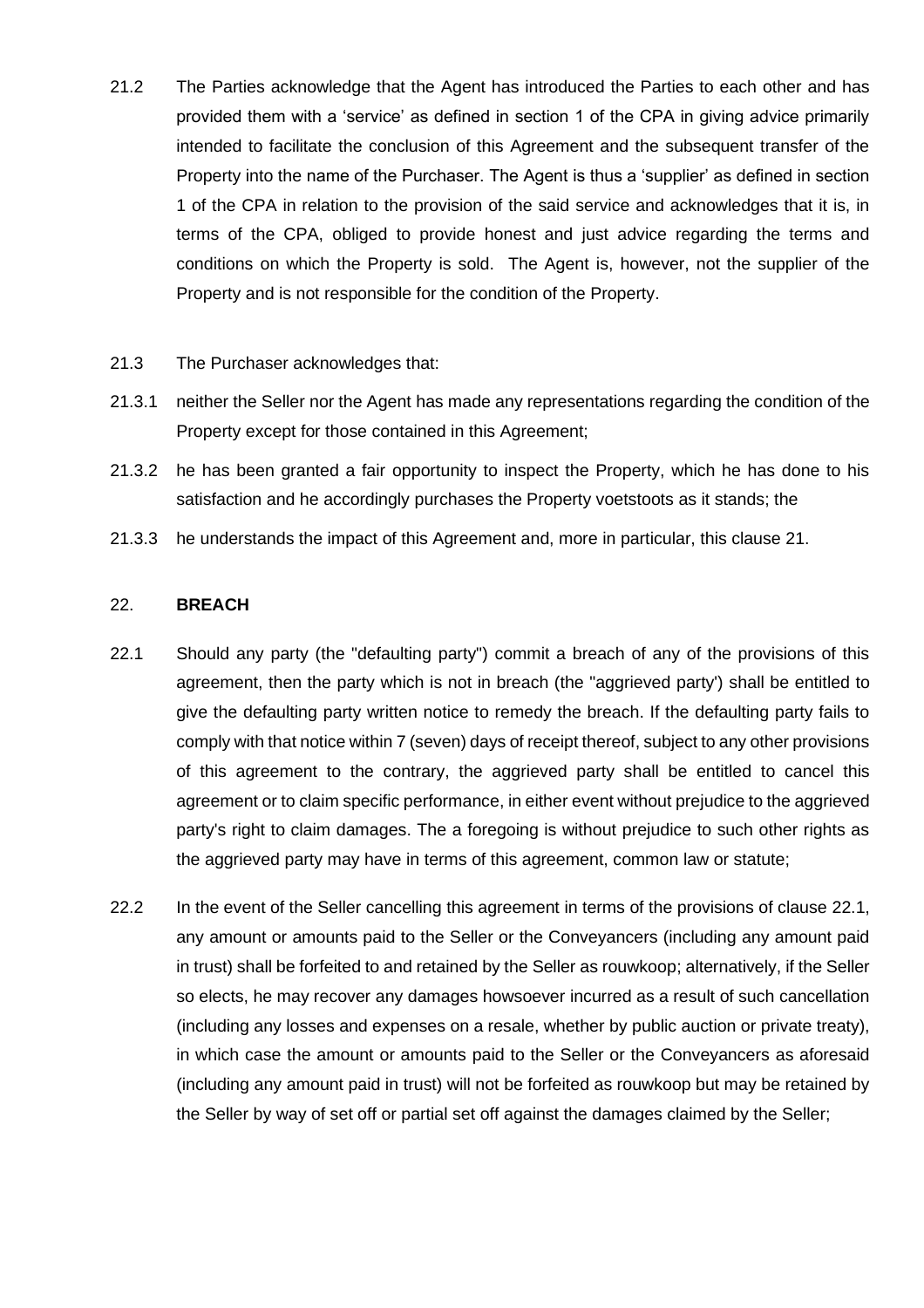- 21.2 The Parties acknowledge that the Agent has introduced the Parties to each other and has provided them with a 'service' as defined in section 1 of the CPA in giving advice primarily intended to facilitate the conclusion of this Agreement and the subsequent transfer of the Property into the name of the Purchaser. The Agent is thus a 'supplier' as defined in section 1 of the CPA in relation to the provision of the said service and acknowledges that it is, in terms of the CPA, obliged to provide honest and just advice regarding the terms and conditions on which the Property is sold. The Agent is, however, not the supplier of the Property and is not responsible for the condition of the Property.
- 21.3 The Purchaser acknowledges that:
- 21.3.1 neither the Seller nor the Agent has made any representations regarding the condition of the Property except for those contained in this Agreement;
- 21.3.2 he has been granted a fair opportunity to inspect the Property, which he has done to his satisfaction and he accordingly purchases the Property voetstoots as it stands; the
- <span id="page-15-0"></span>21.3.3 he understands the impact of this Agreement and, more in particular, this clause 21.

#### 22. **BREACH**

- <span id="page-15-1"></span>22.1 Should any party (the "defaulting party") commit a breach of any of the provisions of this agreement, then the party which is not in breach (the "aggrieved party') shall be entitled to give the defaulting party written notice to remedy the breach. If the defaulting party fails to comply with that notice within 7 (seven) days of receipt thereof, subject to any other provisions of this agreement to the contrary, the aggrieved party shall be entitled to cancel this agreement or to claim specific performance, in either event without prejudice to the aggrieved party's right to claim damages. The a foregoing is without prejudice to such other rights as the aggrieved party may have in terms of this agreement, common law or statute;
- 22.2 In the event of the Seller cancelling this agreement in terms of the provisions of clause [22.1,](#page-15-1) any amount or amounts paid to the Seller or the Conveyancers (including any amount paid in trust) shall be forfeited to and retained by the Seller as rouwkoop; alternatively, if the Seller so elects, he may recover any damages howsoever incurred as a result of such cancellation (including any losses and expenses on a resale, whether by public auction or private treaty), in which case the amount or amounts paid to the Seller or the Conveyancers as aforesaid (including any amount paid in trust) will not be forfeited as rouwkoop but may be retained by the Seller by way of set off or partial set off against the damages claimed by the Seller;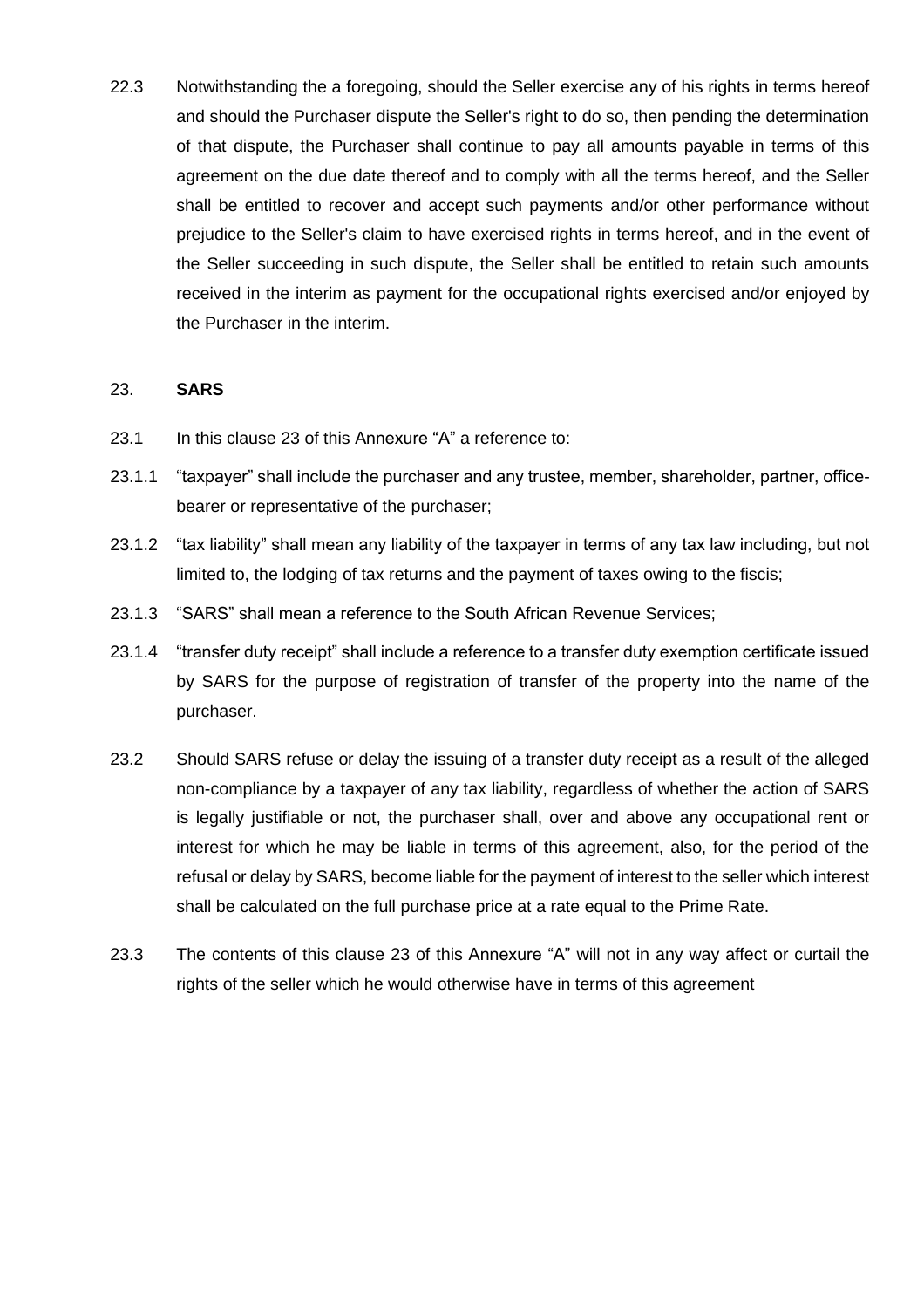22.3 Notwithstanding the a foregoing, should the Seller exercise any of his rights in terms hereof and should the Purchaser dispute the Seller's right to do so, then pending the determination of that dispute, the Purchaser shall continue to pay all amounts payable in terms of this agreement on the due date thereof and to comply with all the terms hereof, and the Seller shall be entitled to recover and accept such payments and/or other performance without prejudice to the Seller's claim to have exercised rights in terms hereof, and in the event of the Seller succeeding in such dispute, the Seller shall be entitled to retain such amounts received in the interim as payment for the occupational rights exercised and/or enjoyed by the Purchaser in the interim.

#### <span id="page-16-0"></span>23. **SARS**

- 23.1 In this clause [23](#page-16-0) of this Annexure "A" a reference to:
- 23.1.1 "taxpayer" shall include the purchaser and any trustee, member, shareholder, partner, officebearer or representative of the purchaser;
- 23.1.2 "tax liability" shall mean any liability of the taxpayer in terms of any tax law including, but not limited to, the lodging of tax returns and the payment of taxes owing to the fiscis;
- 23.1.3 "SARS" shall mean a reference to the South African Revenue Services;
- 23.1.4 "transfer duty receipt" shall include a reference to a transfer duty exemption certificate issued by SARS for the purpose of registration of transfer of the property into the name of the purchaser.
- 23.2 Should SARS refuse or delay the issuing of a transfer duty receipt as a result of the alleged non-compliance by a taxpayer of any tax liability, regardless of whether the action of SARS is legally justifiable or not, the purchaser shall, over and above any occupational rent or interest for which he may be liable in terms of this agreement, also, for the period of the refusal or delay by SARS, become liable for the payment of interest to the seller which interest shall be calculated on the full purchase price at a rate equal to the Prime Rate.
- 23.3 The contents of this clause [23](#page-16-0) of this Annexure "A" will not in any way affect or curtail the rights of the seller which he would otherwise have in terms of this agreement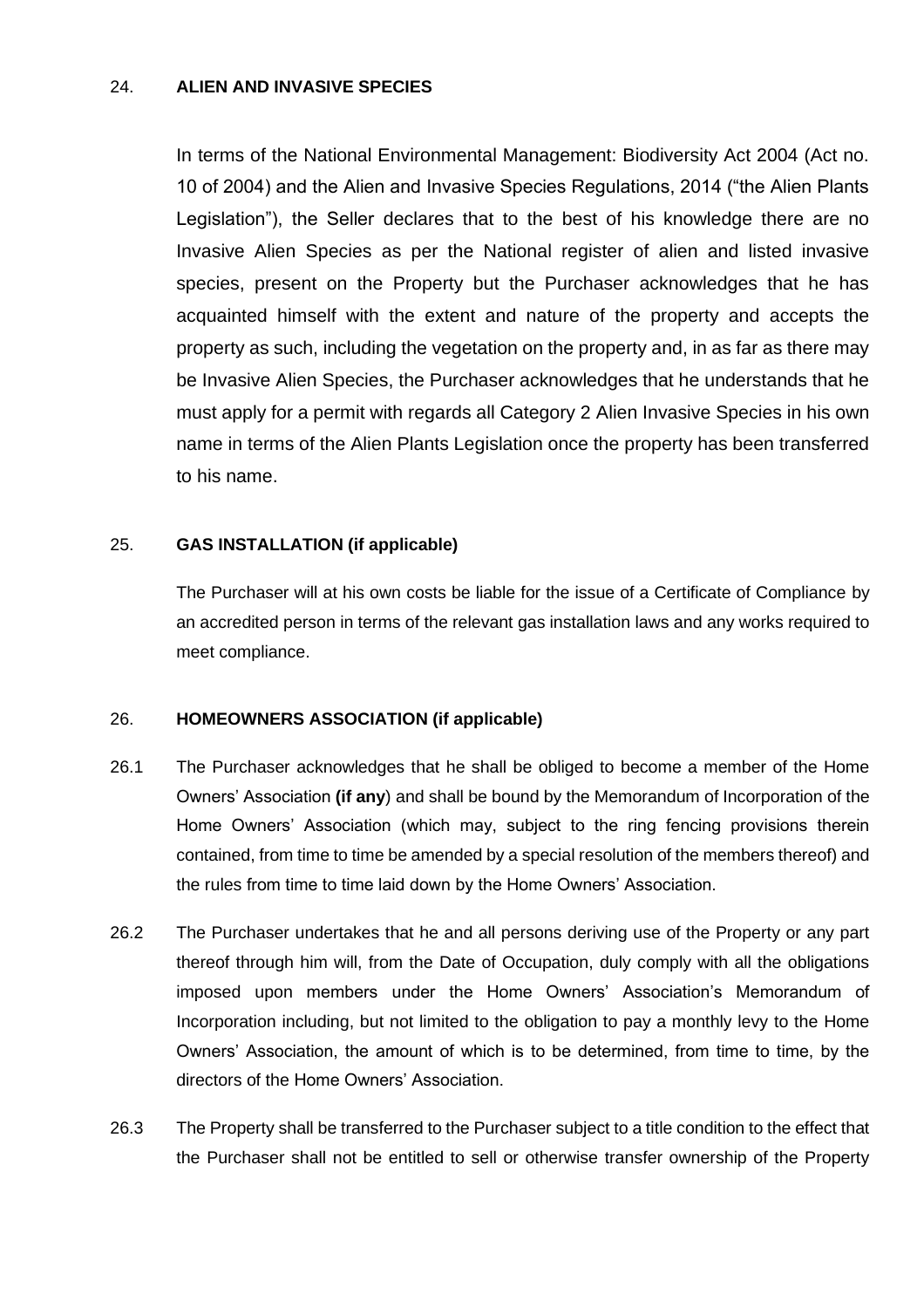#### 24. **ALIEN AND INVASIVE SPECIES**

In terms of the National Environmental Management: Biodiversity Act 2004 (Act no. 10 of 2004) and the Alien and Invasive Species Regulations, 2014 ("the Alien Plants Legislation"), the Seller declares that to the best of his knowledge there are no Invasive Alien Species as per the National register of alien and listed invasive species, present on the Property but the Purchaser acknowledges that he has acquainted himself with the extent and nature of the property and accepts the property as such, including the vegetation on the property and, in as far as there may be Invasive Alien Species, the Purchaser acknowledges that he understands that he must apply for a permit with regards all Category 2 Alien Invasive Species in his own name in terms of the Alien Plants Legislation once the property has been transferred to his name.

#### 25. **GAS INSTALLATION (if applicable)**

The Purchaser will at his own costs be liable for the issue of a Certificate of Compliance by an accredited person in terms of the relevant gas installation laws and any works required to meet compliance.

#### 26. **HOMEOWNERS ASSOCIATION (if applicable)**

- 26.1 The Purchaser acknowledges that he shall be obliged to become a member of the Home Owners' Association **(if any**) and shall be bound by the Memorandum of Incorporation of the Home Owners' Association (which may, subject to the ring fencing provisions therein contained, from time to time be amended by a special resolution of the members thereof) and the rules from time to time laid down by the Home Owners' Association.
- 26.2 The Purchaser undertakes that he and all persons deriving use of the Property or any part thereof through him will, from the Date of Occupation, duly comply with all the obligations imposed upon members under the Home Owners' Association's Memorandum of Incorporation including, but not limited to the obligation to pay a monthly levy to the Home Owners' Association, the amount of which is to be determined, from time to time, by the directors of the Home Owners' Association.
- 26.3 The Property shall be transferred to the Purchaser subject to a title condition to the effect that the Purchaser shall not be entitled to sell or otherwise transfer ownership of the Property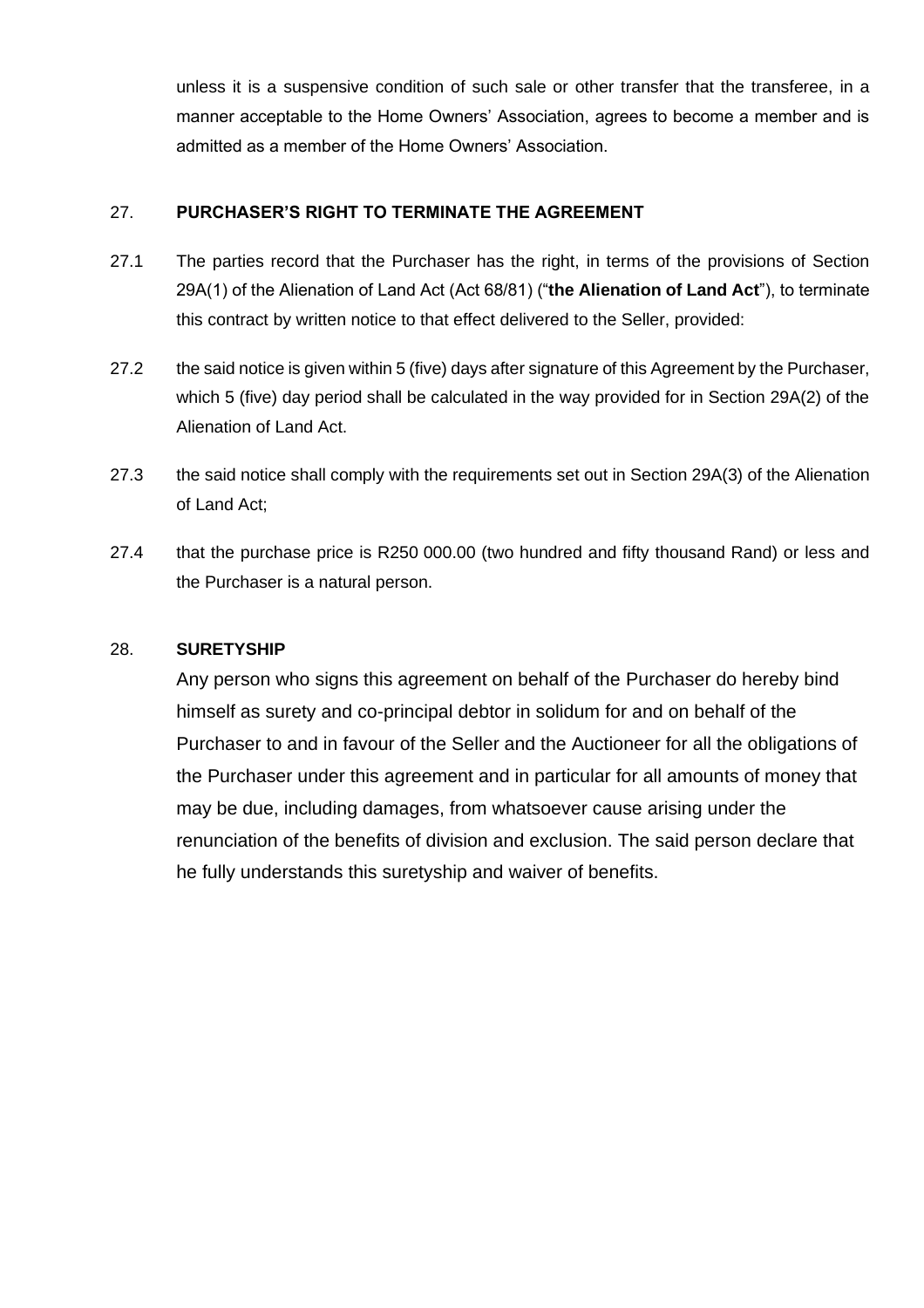unless it is a suspensive condition of such sale or other transfer that the transferee, in a manner acceptable to the Home Owners' Association, agrees to become a member and is admitted as a member of the Home Owners' Association.

# 27. **PURCHASER'S RIGHT TO TERMINATE THE AGREEMENT**

- 27.1 The parties record that the Purchaser has the right, in terms of the provisions of Section 29A(1) of the Alienation of Land Act (Act 68/81) ("**the Alienation of Land Act**"), to terminate this contract by written notice to that effect delivered to the Seller, provided:
- 27.2 the said notice is given within 5 (five) days after signature of this Agreement by the Purchaser, which 5 (five) day period shall be calculated in the way provided for in Section 29A(2) of the Alienation of Land Act.
- 27.3 the said notice shall comply with the requirements set out in Section 29A(3) of the Alienation of Land Act;
- 27.4 that the purchase price is R250 000.00 (two hundred and fifty thousand Rand) or less and the Purchaser is a natural person.

#### 28. **SURETYSHIP**

Any person who signs this agreement on behalf of the Purchaser do hereby bind himself as surety and co-principal debtor in solidum for and on behalf of the Purchaser to and in favour of the Seller and the Auctioneer for all the obligations of the Purchaser under this agreement and in particular for all amounts of money that may be due, including damages, from whatsoever cause arising under the renunciation of the benefits of division and exclusion. The said person declare that he fully understands this suretyship and waiver of benefits.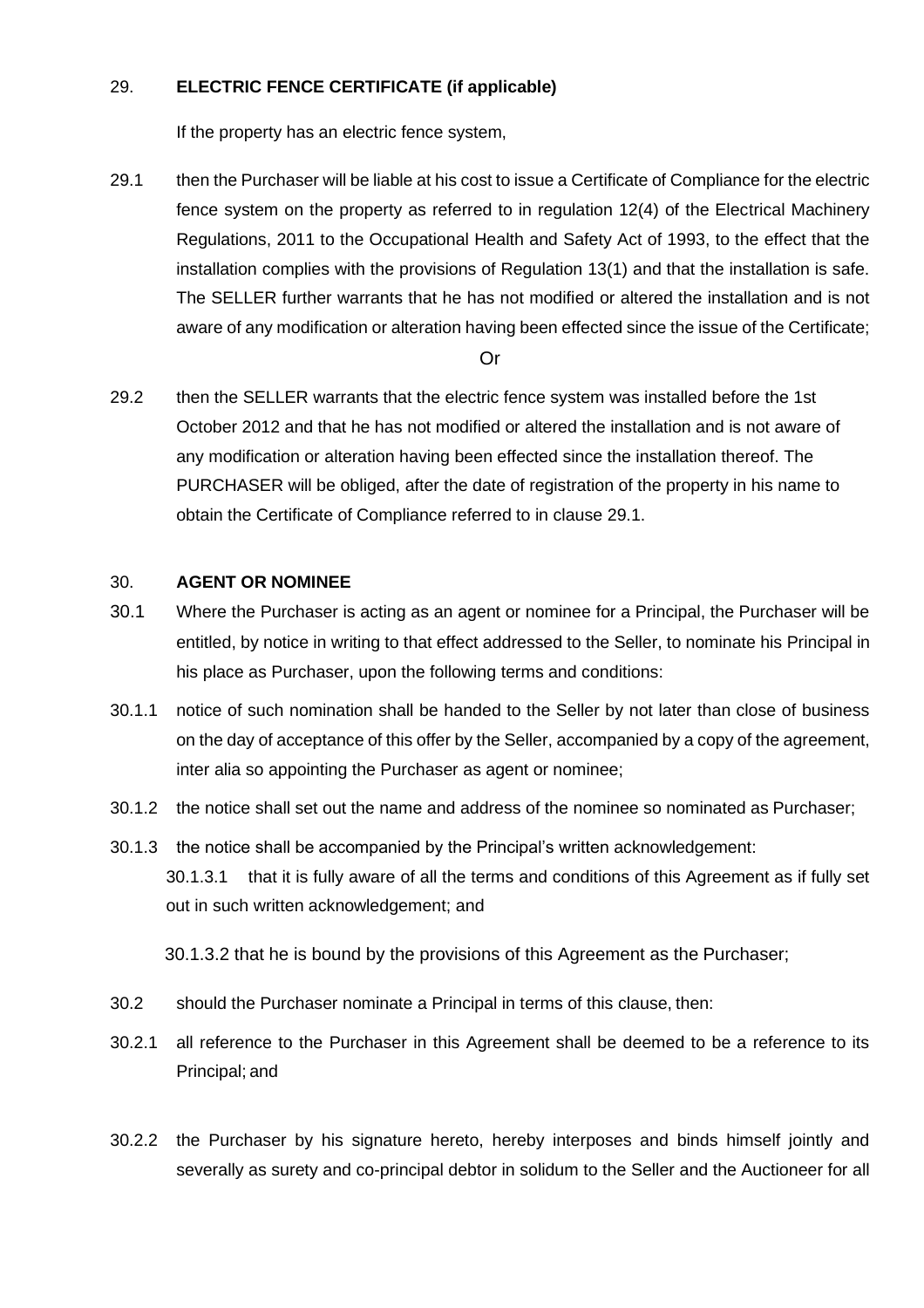# 29. **ELECTRIC FENCE CERTIFICATE (if applicable)**

If the property has an electric fence system,

29.1 then the Purchaser will be liable at his cost to issue a Certificate of Compliance for the electric fence system on the property as referred to in regulation 12(4) of the Electrical Machinery Regulations, 2011 to the Occupational Health and Safety Act of 1993, to the effect that the installation complies with the provisions of Regulation 13(1) and that the installation is safe. The SELLER further warrants that he has not modified or altered the installation and is not aware of any modification or alteration having been effected since the issue of the Certificate;

#### Or

29.2 then the SELLER warrants that the electric fence system was installed before the 1st October 2012 and that he has not modified or altered the installation and is not aware of any modification or alteration having been effected since the installation thereof. The PURCHASER will be obliged, after the date of registration of the property in his name to obtain the Certificate of Compliance referred to in clause 29.1.

# 30. **AGENT OR NOMINEE**

- 30.1 Where the Purchaser is acting as an agent or nominee for a Principal, the Purchaser will be entitled, by notice in writing to that effect addressed to the Seller, to nominate his Principal in his place as Purchaser, upon the following terms and conditions:
- 30.1.1 notice of such nomination shall be handed to the Seller by not later than close of business on the day of acceptance of this offer by the Seller, accompanied by a copy of the agreement, inter alia so appointing the Purchaser as agent or nominee;
- 30.1.2 the notice shall set out the name and address of the nominee so nominated as Purchaser;
- 30.1.3 the notice shall be accompanied by the Principal's written acknowledgement: 30.1.3.1 that it is fully aware of all the terms and conditions of this Agreement as if fully set out in such written acknowledgement; and

30.1.3.2 that he is bound by the provisions of this Agreement as the Purchaser;

- 30.2 should the Purchaser nominate a Principal in terms of this clause, then:
- 30.2.1 all reference to the Purchaser in this Agreement shall be deemed to be a reference to its Principal; and
- 30.2.2 the Purchaser by his signature hereto, hereby interposes and binds himself jointly and severally as surety and co-principal debtor in solidum to the Seller and the Auctioneer for all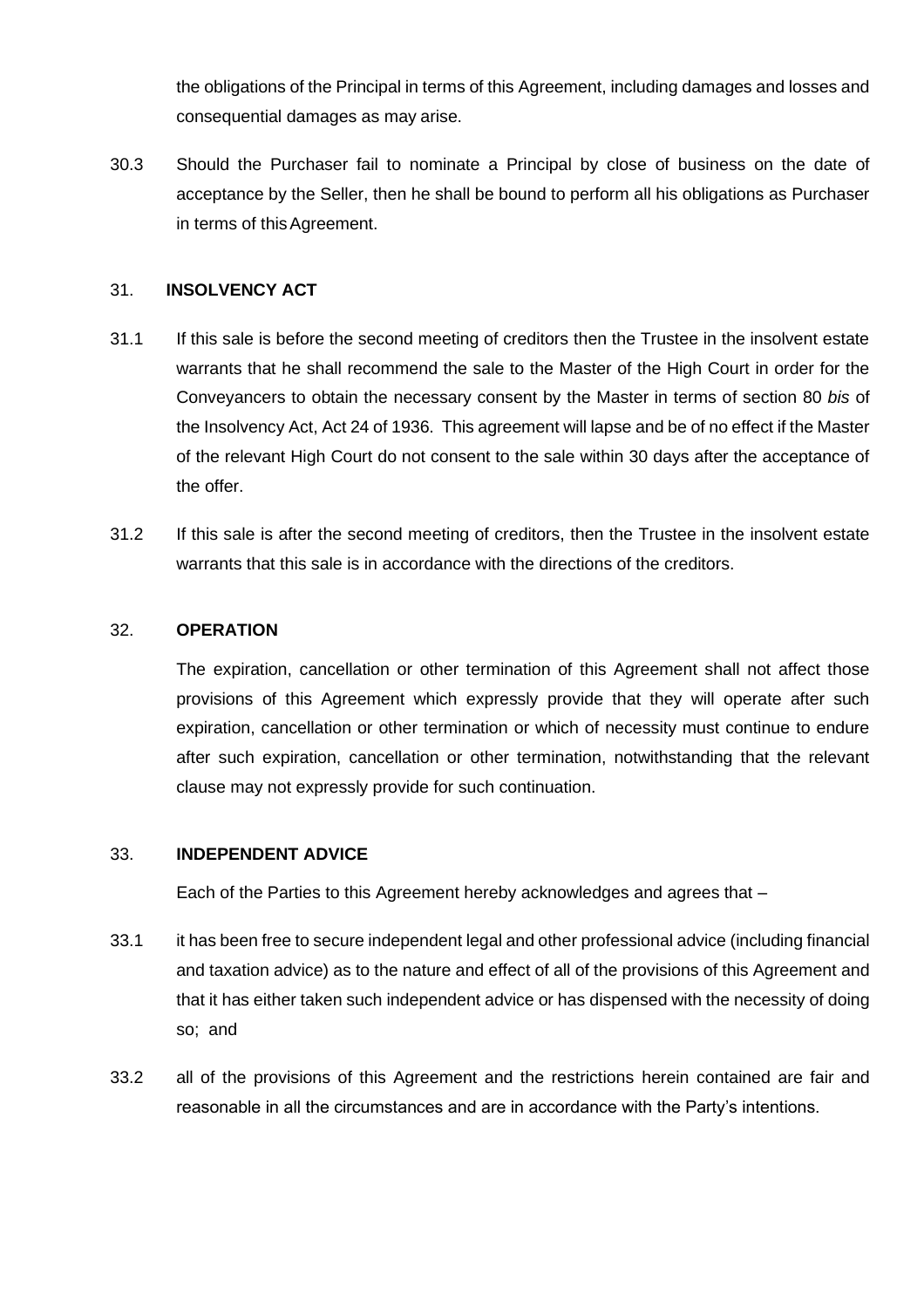the obligations of the Principal in terms of this Agreement, including damages and losses and consequential damages as may arise.

30.3 Should the Purchaser fail to nominate a Principal by close of business on the date of acceptance by the Seller, then he shall be bound to perform all his obligations as Purchaser in terms of this Agreement.

#### 31. **INSOLVENCY ACT**

- 31.1 If this sale is before the second meeting of creditors then the Trustee in the insolvent estate warrants that he shall recommend the sale to the Master of the High Court in order for the Conveyancers to obtain the necessary consent by the Master in terms of section 80 *bis* of the Insolvency Act, Act 24 of 1936. This agreement will lapse and be of no effect if the Master of the relevant High Court do not consent to the sale within 30 days after the acceptance of the offer.
- 31.2 If this sale is after the second meeting of creditors, then the Trustee in the insolvent estate warrants that this sale is in accordance with the directions of the creditors.

#### 32. **OPERATION**

The expiration, cancellation or other termination of this Agreement shall not affect those provisions of this Agreement which expressly provide that they will operate after such expiration, cancellation or other termination or which of necessity must continue to endure after such expiration, cancellation or other termination, notwithstanding that the relevant clause may not expressly provide for such continuation.

#### 33. **INDEPENDENT ADVICE**

Each of the Parties to this Agreement hereby acknowledges and agrees that –

- 33.1 it has been free to secure independent legal and other professional advice (including financial and taxation advice) as to the nature and effect of all of the provisions of this Agreement and that it has either taken such independent advice or has dispensed with the necessity of doing so; and
- 33.2 all of the provisions of this Agreement and the restrictions herein contained are fair and reasonable in all the circumstances and are in accordance with the Party's intentions.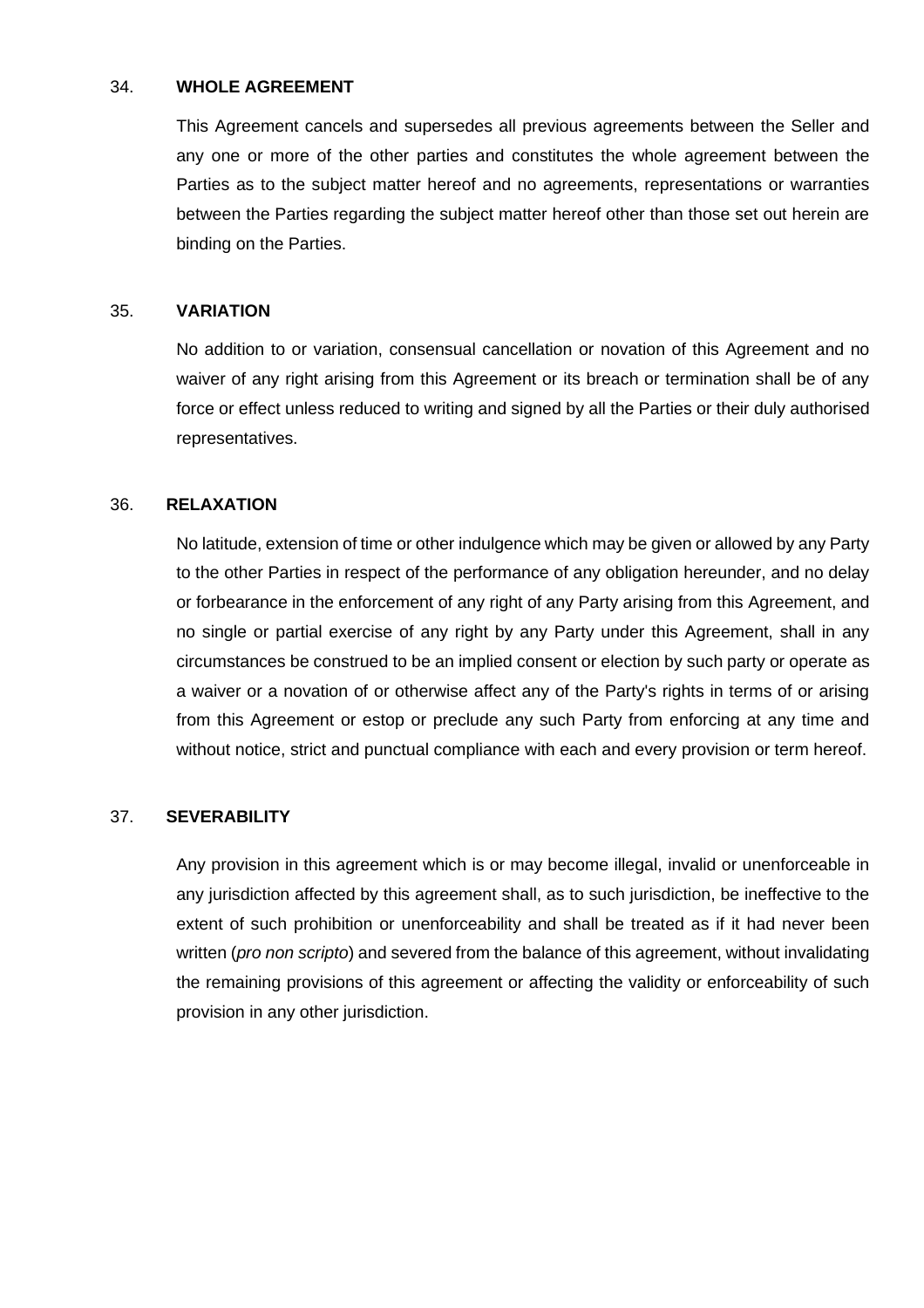#### 34. **WHOLE AGREEMENT**

This Agreement cancels and supersedes all previous agreements between the Seller and any one or more of the other parties and constitutes the whole agreement between the Parties as to the subject matter hereof and no agreements, representations or warranties between the Parties regarding the subject matter hereof other than those set out herein are binding on the Parties.

#### 35. **VARIATION**

No addition to or variation, consensual cancellation or novation of this Agreement and no waiver of any right arising from this Agreement or its breach or termination shall be of any force or effect unless reduced to writing and signed by all the Parties or their duly authorised representatives.

#### 36. **RELAXATION**

No latitude, extension of time or other indulgence which may be given or allowed by any Party to the other Parties in respect of the performance of any obligation hereunder, and no delay or forbearance in the enforcement of any right of any Party arising from this Agreement, and no single or partial exercise of any right by any Party under this Agreement, shall in any circumstances be construed to be an implied consent or election by such party or operate as a waiver or a novation of or otherwise affect any of the Party's rights in terms of or arising from this Agreement or estop or preclude any such Party from enforcing at any time and without notice, strict and punctual compliance with each and every provision or term hereof.

#### 37. **SEVERABILITY**

Any provision in this agreement which is or may become illegal, invalid or unenforceable in any jurisdiction affected by this agreement shall, as to such jurisdiction, be ineffective to the extent of such prohibition or unenforceability and shall be treated as if it had never been written (*pro non scripto*) and severed from the balance of this agreement, without invalidating the remaining provisions of this agreement or affecting the validity or enforceability of such provision in any other jurisdiction.